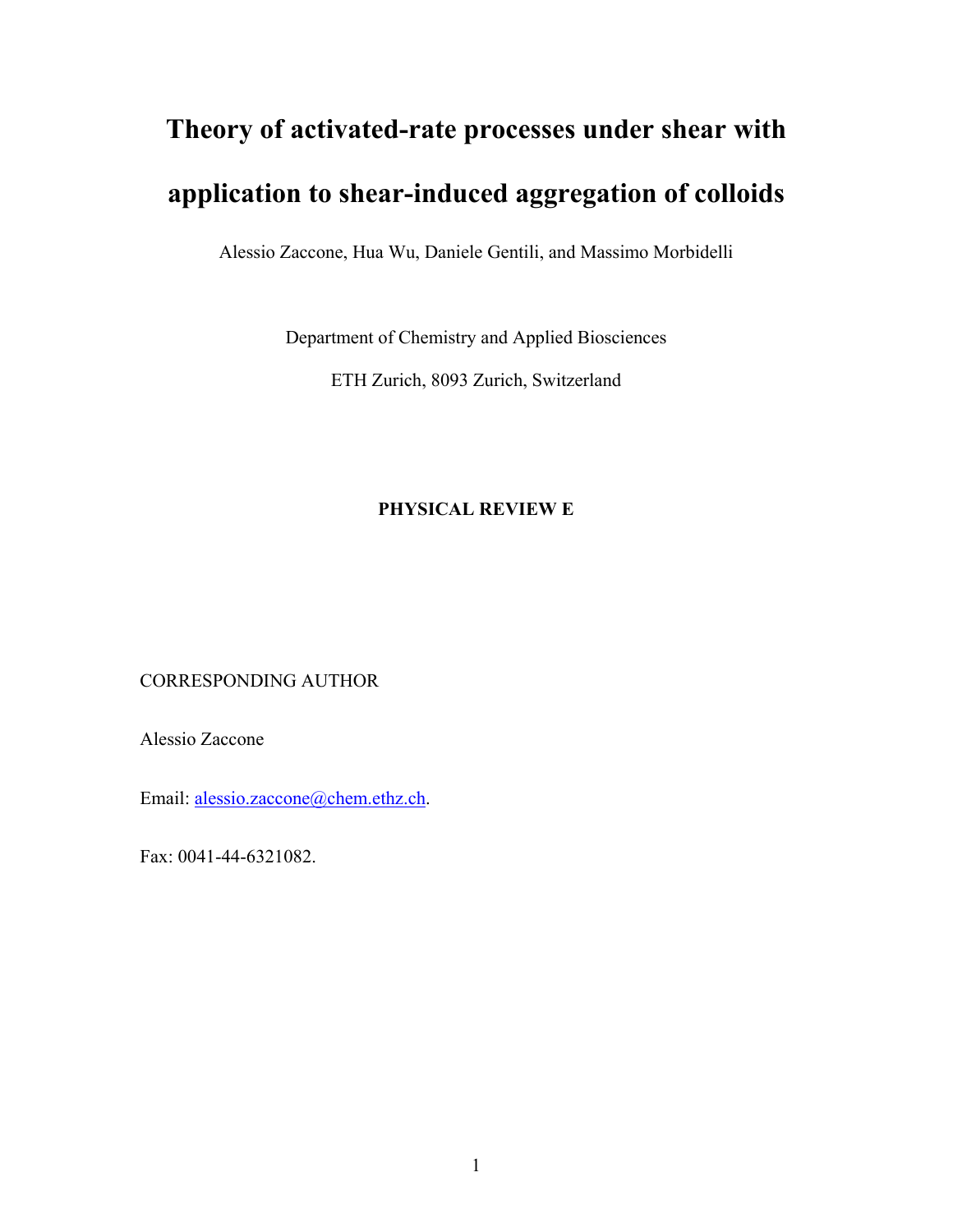# **Theory of activated-rate processes under shear with application to shear-induced aggregation of colloids**

Alessio Zaccone, Hua Wu, Daniele Gentili, and Massimo Morbidelli

Department of Chemistry and Applied Biosciences

ETH Zurich, 8093 Zurich, Switzerland

# **PHYSICAL REVIEW E**

CORRESPONDING AUTHOR

Alessio Zaccone

Email: alessio.zaccone@chem.ethz.ch.

Fax: 0041-44-6321082.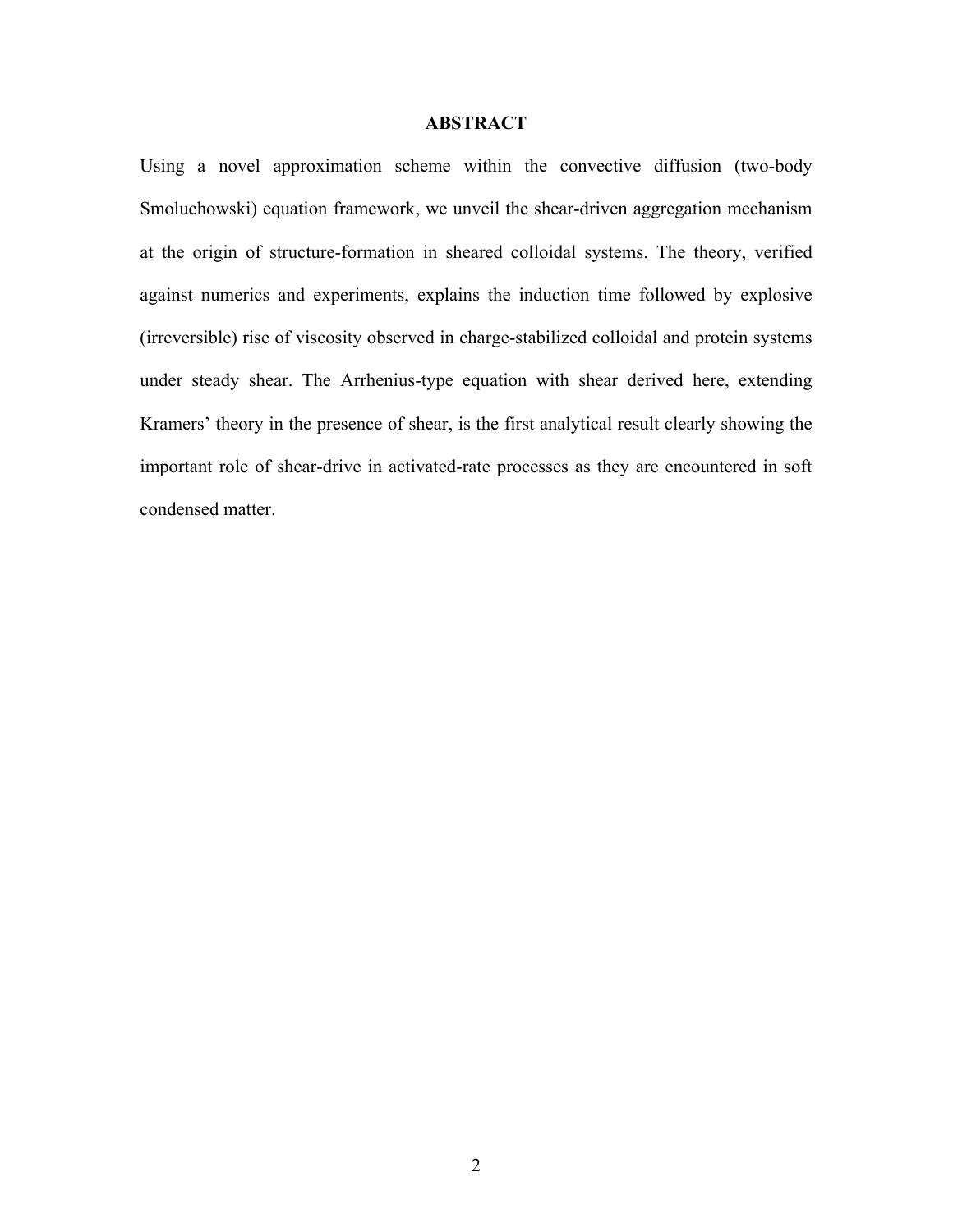# **ABSTRACT**

Using a novel approximation scheme within the convective diffusion (two-body Smoluchowski) equation framework, we unveil the shear-driven aggregation mechanism at the origin of structure-formation in sheared colloidal systems. The theory, verified against numerics and experiments, explains the induction time followed by explosive (irreversible) rise of viscosity observed in charge-stabilized colloidal and protein systems under steady shear. The Arrhenius-type equation with shear derived here, extending Kramers' theory in the presence of shear, is the first analytical result clearly showing the important role of shear-drive in activated-rate processes as they are encountered in soft condensed matter.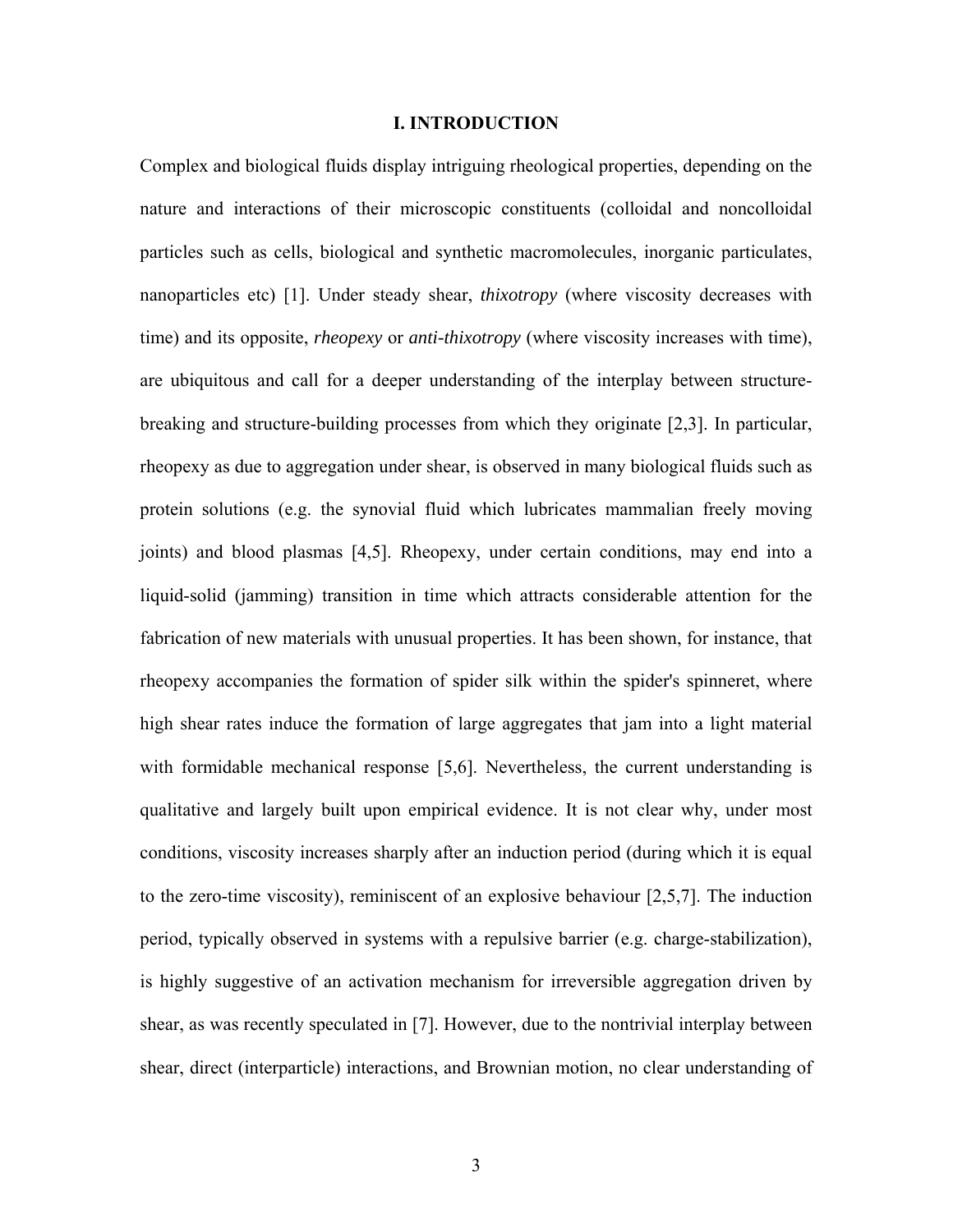# **I. INTRODUCTION**

Complex and biological fluids display intriguing rheological properties, depending on the nature and interactions of their microscopic constituents (colloidal and noncolloidal particles such as cells, biological and synthetic macromolecules, inorganic particulates, nanoparticles etc) [1]. Under steady shear, *thixotropy* (where viscosity decreases with time) and its opposite, *rheopexy* or *anti-thixotropy* (where viscosity increases with time), are ubiquitous and call for a deeper understanding of the interplay between structurebreaking and structure-building processes from which they originate [2,3]. In particular, rheopexy as due to aggregation under shear, is observed in many biological fluids such as protein solutions (e.g. the synovial fluid which lubricates mammalian freely moving joints) and blood plasmas [4,5]. Rheopexy, under certain conditions, may end into a liquid-solid (jamming) transition in time which attracts considerable attention for the fabrication of new materials with unusual properties. It has been shown, for instance, that rheopexy accompanies the formation of spider silk within the spider's spinneret, where high shear rates induce the formation of large aggregates that jam into a light material with formidable mechanical response [5,6]. Nevertheless, the current understanding is qualitative and largely built upon empirical evidence. It is not clear why, under most conditions, viscosity increases sharply after an induction period (during which it is equal to the zero-time viscosity), reminiscent of an explosive behaviour [2,5,7]. The induction period, typically observed in systems with a repulsive barrier (e.g. charge-stabilization), is highly suggestive of an activation mechanism for irreversible aggregation driven by shear, as was recently speculated in [7]. However, due to the nontrivial interplay between shear, direct (interparticle) interactions, and Brownian motion, no clear understanding of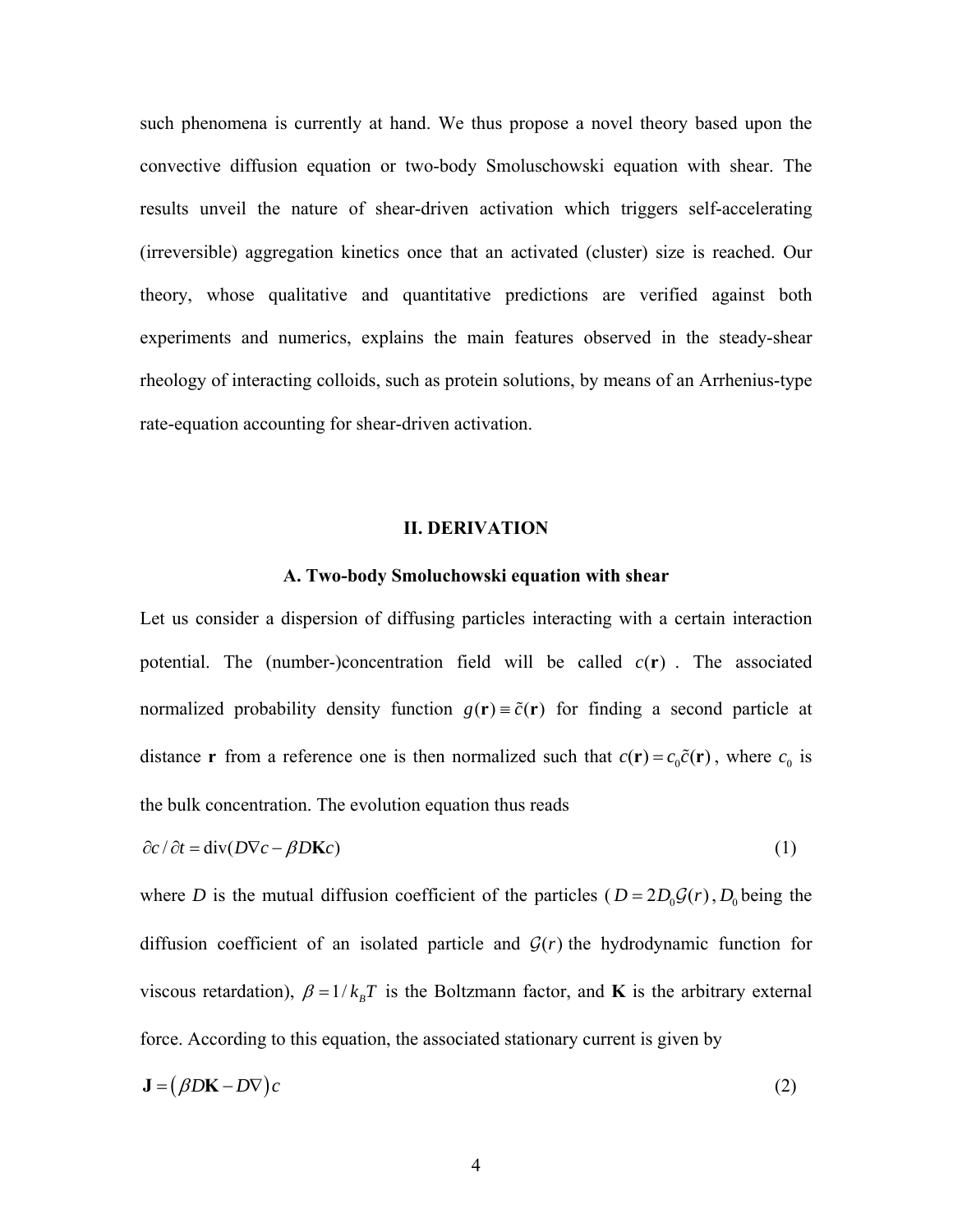such phenomena is currently at hand. We thus propose a novel theory based upon the convective diffusion equation or two-body Smoluschowski equation with shear. The results unveil the nature of shear-driven activation which triggers self-accelerating (irreversible) aggregation kinetics once that an activated (cluster) size is reached. Our theory, whose qualitative and quantitative predictions are verified against both experiments and numerics, explains the main features observed in the steady-shear rheology of interacting colloids, such as protein solutions, by means of an Arrhenius-type rate-equation accounting for shear-driven activation.

# **II. DERIVATION**

# **A. Two-body Smoluchowski equation with shear**

Let us consider a dispersion of diffusing particles interacting with a certain interaction potential. The (number-)concentration field will be called  $c(\mathbf{r})$ . The associated normalized probability density function  $g(\mathbf{r}) = \tilde{c}(\mathbf{r})$  for finding a second particle at distance **r** from a reference one is then normalized such that  $c(\mathbf{r}) = c_0 \tilde{c}(\mathbf{r})$ , where  $c_0$  is the bulk concentration. The evolution equation thus reads

$$
\frac{\partial c}{\partial t} = \text{div}(D\nabla c - \beta D\mathbf{K}c) \tag{1}
$$

where *D* is the mutual diffusion coefficient of the particles ( $D = 2D_0 \mathcal{G}(r)$ ,  $D_0$  being the diffusion coefficient of an isolated particle and  $G(r)$  the hydrodynamic function for viscous retardation),  $\beta = 1/k_B T$  is the Boltzmann factor, and **K** is the arbitrary external force. According to this equation, the associated stationary current is given by

$$
\mathbf{J} = (\beta D\mathbf{K} - D\nabla)c \tag{2}
$$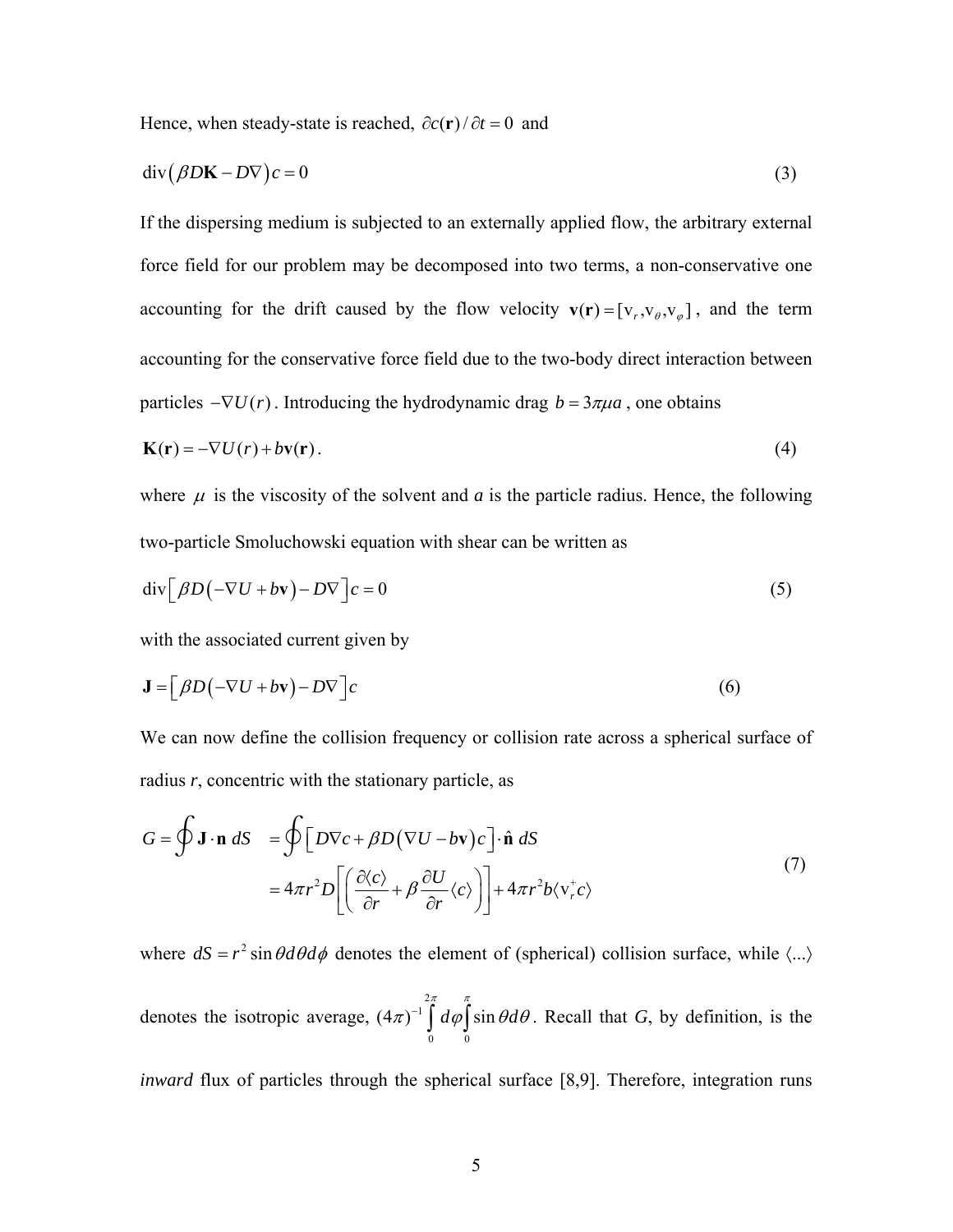Hence, when steady-state is reached,  $\partial c(\mathbf{r})/\partial t = 0$  and

$$
\operatorname{div}(\beta D\mathbf{K} - D\nabla)c = 0\tag{3}
$$

If the dispersing medium is subjected to an externally applied flow, the arbitrary external force field for our problem may be decomposed into two terms, a non-conservative one accounting for the drift caused by the flow velocity  $\mathbf{v}(\mathbf{r}) = [v_r, v_\theta, v_\varphi]$ , and the term accounting for the conservative force field due to the two-body direct interaction between particles  $-\nabla U(r)$ . Introducing the hydrodynamic drag  $b = 3\pi\mu a$ , one obtains

$$
\mathbf{K}(\mathbf{r}) = -\nabla U(r) + b\mathbf{v}(\mathbf{r}).\tag{4}
$$

where  $\mu$  is the viscosity of the solvent and *a* is the particle radius. Hence, the following two-particle Smoluchowski equation with shear can be written as

$$
\operatorname{div} \left[ \beta D \left( -\nabla U + b \mathbf{v} \right) - D \nabla \right] c = 0 \tag{5}
$$

with the associated current given by

$$
\mathbf{J} = \left[ \beta D \left( -\nabla U + b\mathbf{v} \right) - D\nabla \right] c \tag{6}
$$

We can now define the collision frequency or collision rate across a spherical surface of radius *r*, concentric with the stationary particle, as

$$
G = \oint \mathbf{J} \cdot \mathbf{n} \, dS = \oint \left[ D \nabla c + \beta D (\nabla U - b \mathbf{v}) c \right] \cdot \hat{\mathbf{n}} \, dS
$$
  
=  $4 \pi r^2 D \left[ \left( \frac{\partial \langle c \rangle}{\partial r} + \beta \frac{\partial U}{\partial r} \langle c \rangle \right) \right] + 4 \pi r^2 b \langle \mathbf{v}_r^+ c \rangle$  (7)

where  $dS = r^2 \sin \theta d\theta d\phi$  denotes the element of (spherical) collision surface, while  $\langle ... \rangle$ 

denotes the isotropic average, 2 1 0 0  $(4\pi)^{-1} \int d\varphi \int \sin\theta d\theta$ . Recall that *G*, by definition, is the

*inward* flux of particles through the spherical surface [8,9]. Therefore, integration runs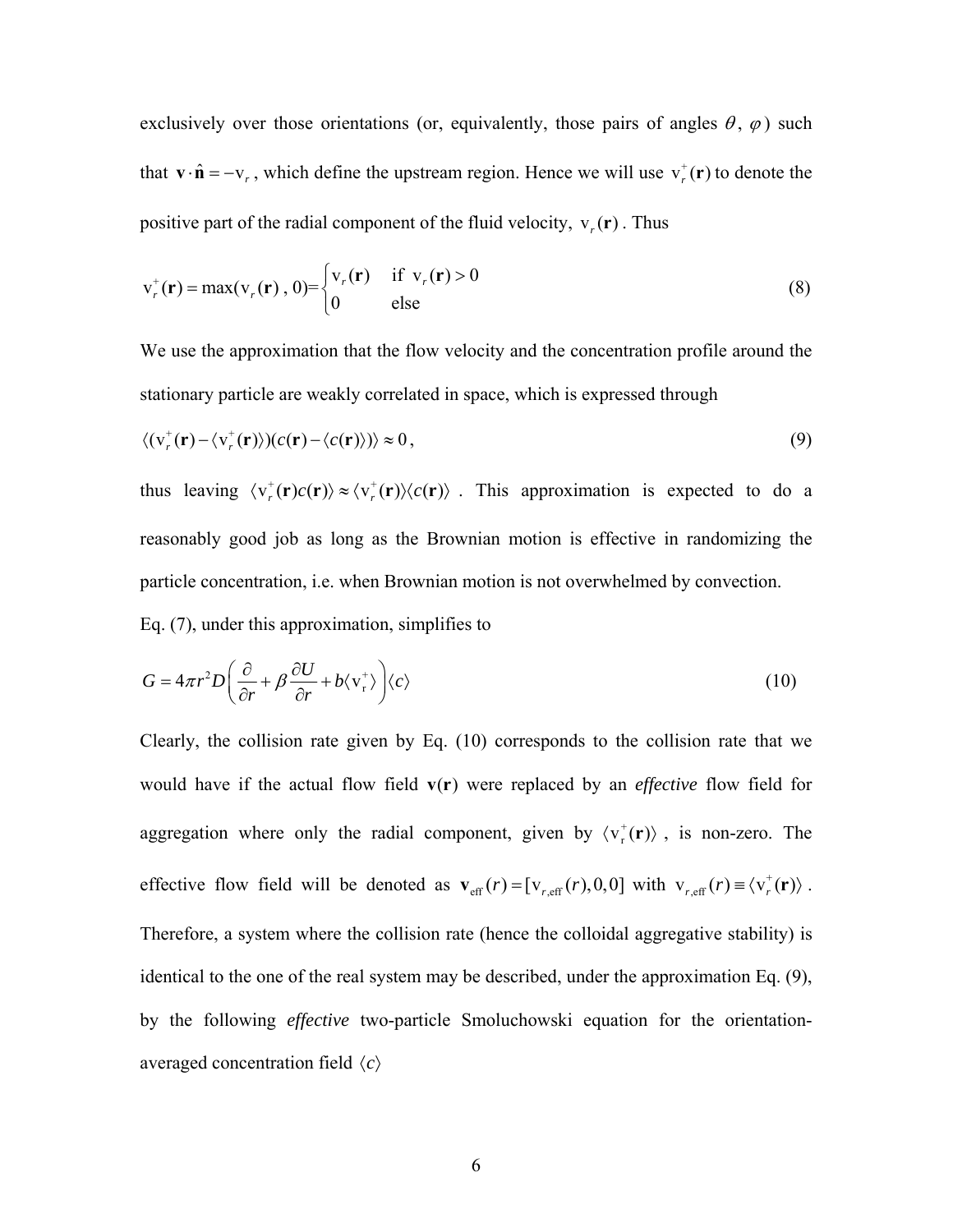exclusively over those orientations (or, equivalently, those pairs of angles  $\theta$ ,  $\varphi$ ) such that  $\mathbf{v} \cdot \hat{\mathbf{n}} = -v_r$ , which define the upstream region. Hence we will use  $v_r^{\dagger}(\mathbf{r})$  to denote the positive part of the radial component of the fluid velocity,  $v_r(r)$ . Thus

$$
\mathbf{v}_r^+(\mathbf{r}) = \max(\mathbf{v}_r(\mathbf{r}), 0) = \begin{cases} \mathbf{v}_r(\mathbf{r}) & \text{if } \mathbf{v}_r(\mathbf{r}) > 0 \\ 0 & \text{else} \end{cases}
$$
(8)

We use the approximation that the flow velocity and the concentration profile around the stationary particle are weakly correlated in space, which is expressed through

$$
\langle (\mathbf{v}_r^+(\mathbf{r}) - \langle \mathbf{v}_r^+(\mathbf{r}) \rangle)(c(\mathbf{r}) - \langle c(\mathbf{r}) \rangle) \rangle \approx 0, \qquad (9)
$$

thus leaving  $\langle v_r^*(\mathbf{r})c(\mathbf{r})\rangle \approx \langle v_r^*(\mathbf{r})\rangle\langle c(\mathbf{r})\rangle$ . This approximation is expected to do a reasonably good job as long as the Brownian motion is effective in randomizing the particle concentration, i.e. when Brownian motion is not overwhelmed by convection.

Eq. (7), under this approximation, simplifies to

$$
G = 4\pi r^2 D \left( \frac{\partial}{\partial r} + \beta \frac{\partial U}{\partial r} + b \langle v_r^+ \rangle \right) \langle c \rangle \tag{10}
$$

Clearly, the collision rate given by Eq. (10) corresponds to the collision rate that we would have if the actual flow field  $v(r)$  were replaced by an *effective* flow field for aggregation where only the radial component, given by  $\langle v_r^*(\mathbf{r})\rangle$ , is non-zero. The effective flow field will be denoted as  $\mathbf{v}_{\text{eff}}(r) = [\mathbf{v}_{r,\text{eff}}(r), 0, 0]$  with  $\mathbf{v}_{r,\text{eff}}(r) \equiv \langle \mathbf{v}_r^{\dagger}(\mathbf{r}) \rangle$ . Therefore, a system where the collision rate (hence the colloidal aggregative stability) is identical to the one of the real system may be described, under the approximation Eq. (9), by the following *effective* two-particle Smoluchowski equation for the orientationaveraged concentration field *c*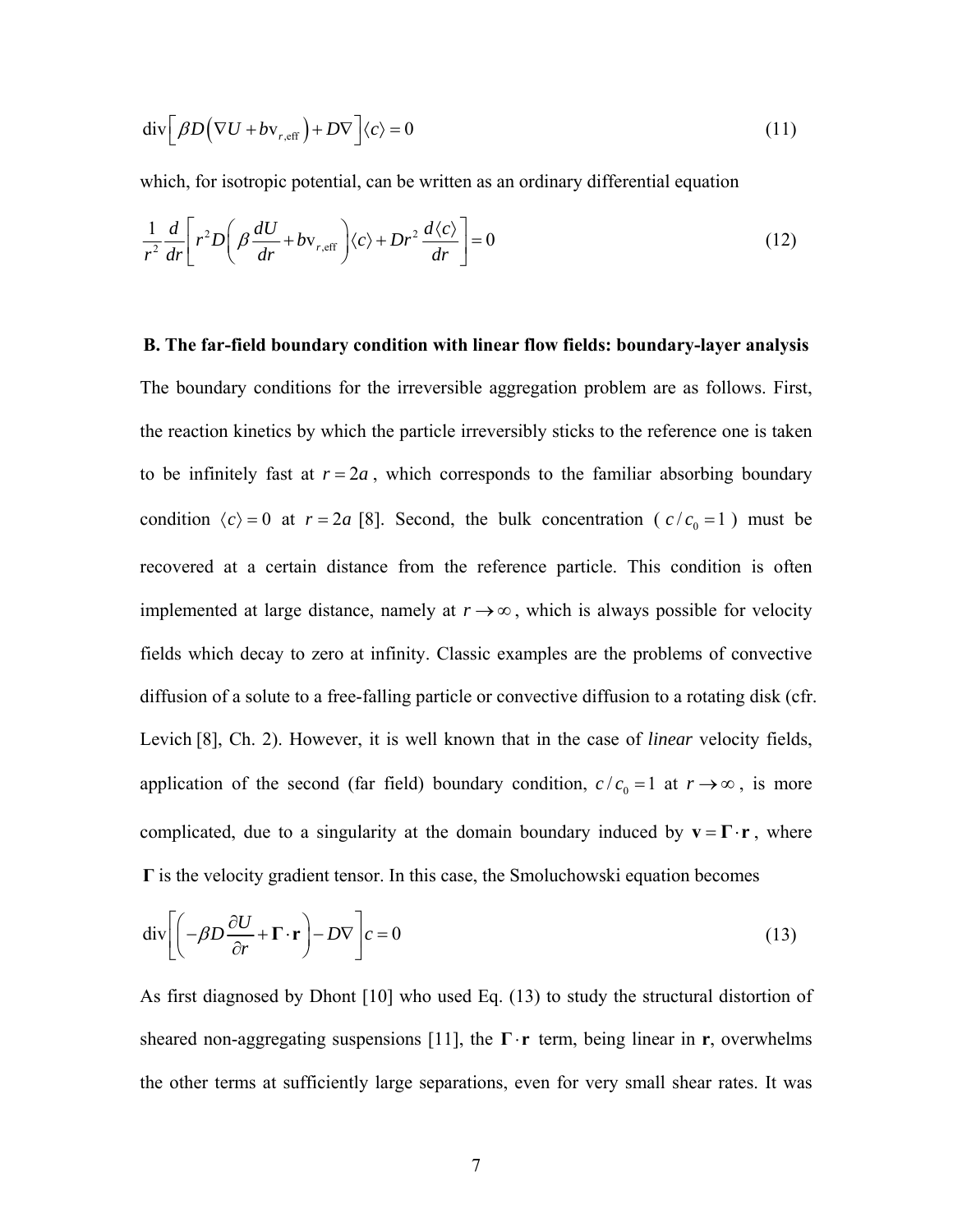$$
\operatorname{div} \left[ \beta D \left( \nabla U + b v_{r, \text{eff}} \right) + D \nabla \right] \langle c \rangle = 0 \tag{11}
$$

which, for isotropic potential, can be written as an ordinary differential equation

$$
\frac{1}{r^2}\frac{d}{dr}\left[r^2D\left(\beta\frac{dU}{dr} + bv_{r,\text{eff}}\right)\langle c\rangle + Dr^2\frac{d\langle c\rangle}{dr}\right] = 0\tag{12}
$$

**B. The far-field boundary condition with linear flow fields: boundary-layer analysis** The boundary conditions for the irreversible aggregation problem are as follows. First, the reaction kinetics by which the particle irreversibly sticks to the reference one is taken to be infinitely fast at  $r = 2a$ , which corresponds to the familiar absorbing boundary condition  $\langle c \rangle = 0$  at  $r = 2a$  [8]. Second, the bulk concentration ( $c/c_0 = 1$ ) must be recovered at a certain distance from the reference particle. This condition is often implemented at large distance, namely at  $r \rightarrow \infty$ , which is always possible for velocity fields which decay to zero at infinity. Classic examples are the problems of convective diffusion of a solute to a free-falling particle or convective diffusion to a rotating disk (cfr. Levich [8], Ch. 2). However, it is well known that in the case of *linear* velocity fields, application of the second (far field) boundary condition,  $c/c_0 = 1$  at  $r \rightarrow \infty$ , is more complicated, due to a singularity at the domain boundary induced by  $\mathbf{v} = \mathbf{\Gamma} \cdot \mathbf{r}$ , where **Γ** is the velocity gradient tensor. In this case, the Smoluchowski equation becomes

$$
\operatorname{div}\left[\left(-\beta D \frac{\partial U}{\partial r} + \mathbf{\Gamma} \cdot \mathbf{r}\right) - D \nabla\right] c = 0\tag{13}
$$

As first diagnosed by Dhont [10] who used Eq. (13) to study the structural distortion of sheared non-aggregating suspensions [11], the  $\Gamma \cdot r$  term, being linear in r, overwhelms the other terms at sufficiently large separations, even for very small shear rates. It was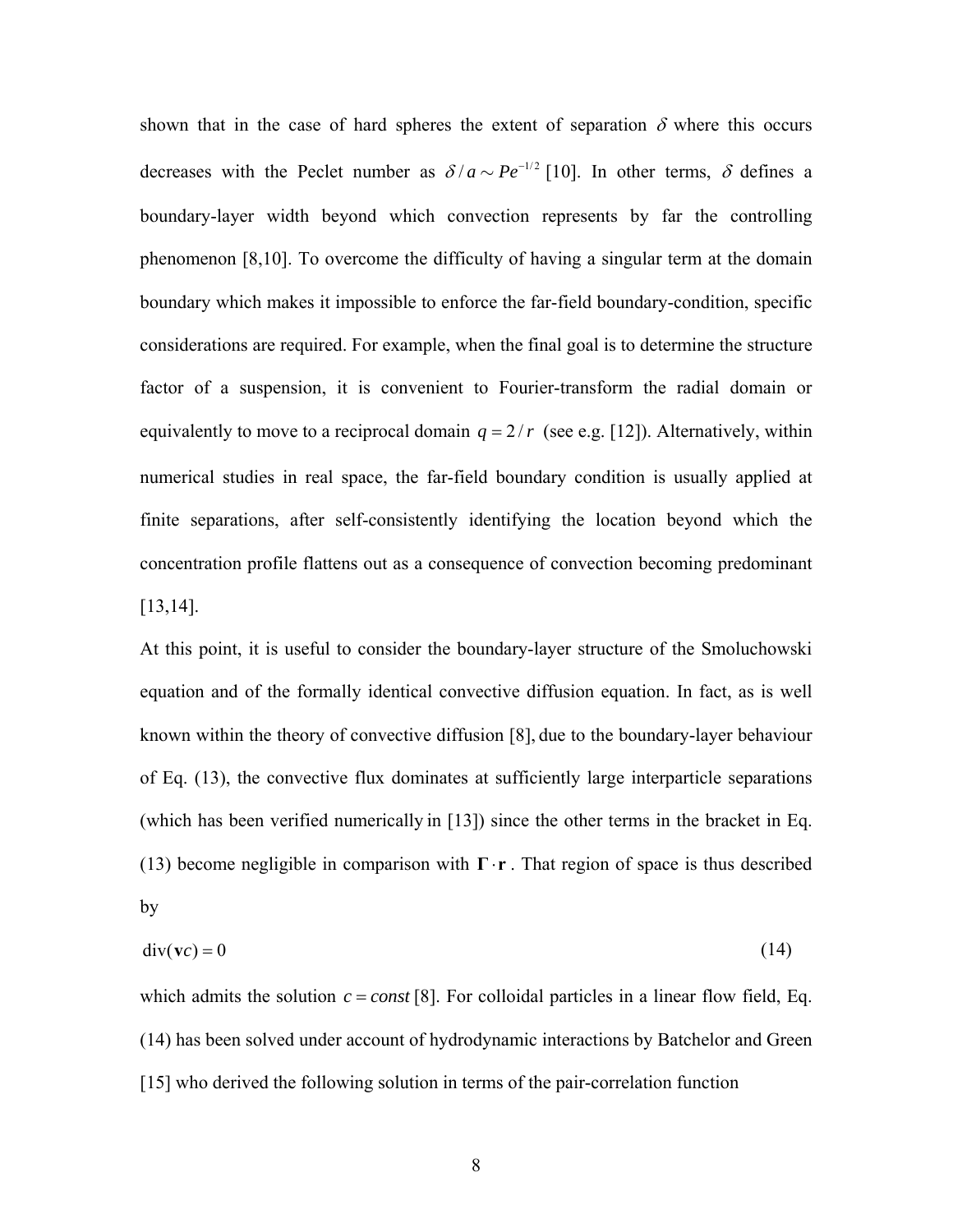shown that in the case of hard spheres the extent of separation  $\delta$  where this occurs decreases with the Peclet number as  $\delta/a \sim Pe^{-1/2}$  [10]. In other terms,  $\delta$  defines a boundary-layer width beyond which convection represents by far the controlling phenomenon [8,10]. To overcome the difficulty of having a singular term at the domain boundary which makes it impossible to enforce the far-field boundary-condition, specific considerations are required. For example, when the final goal is to determine the structure factor of a suspension, it is convenient to Fourier-transform the radial domain or equivalently to move to a reciprocal domain  $q = 2/r$  (see e.g. [12]). Alternatively, within numerical studies in real space, the far-field boundary condition is usually applied at finite separations, after self-consistently identifying the location beyond which the concentration profile flattens out as a consequence of convection becoming predominant [13,14].

At this point, it is useful to consider the boundary-layer structure of the Smoluchowski equation and of the formally identical convective diffusion equation. In fact, as is well known within the theory of convective diffusion [8], due to the boundary-layer behaviour of Eq. (13), the convective flux dominates at sufficiently large interparticle separations (which has been verified numerically in [13]) since the other terms in the bracket in Eq. (13) become negligible in comparison with **Γr** . That region of space is thus described by

$$
\operatorname{div}(\mathbf{v}c) = 0\tag{14}
$$

which admits the solution  $c = const$  [8]. For colloidal particles in a linear flow field, Eq. (14) has been solved under account of hydrodynamic interactions by Batchelor and Green [15] who derived the following solution in terms of the pair-correlation function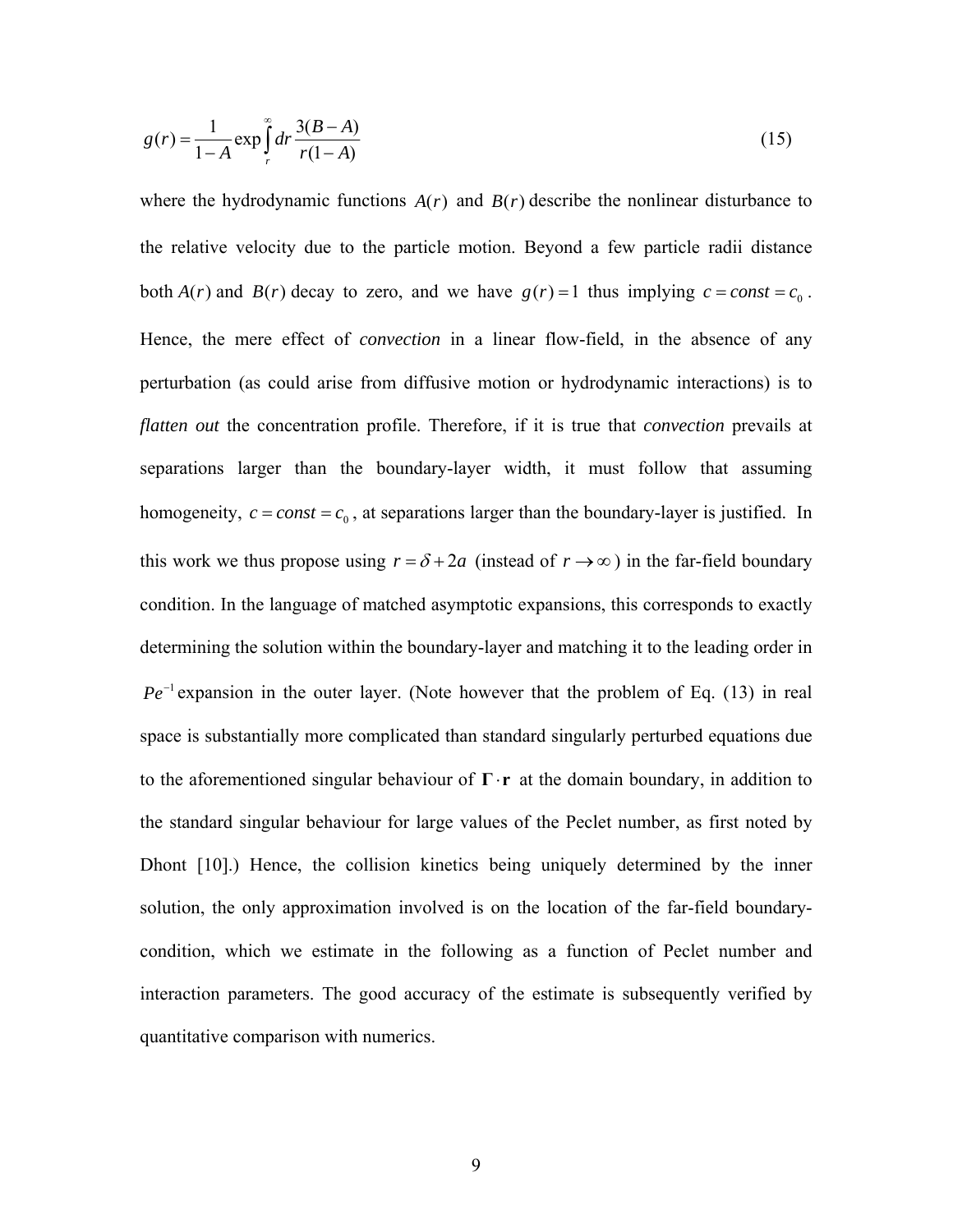$$
g(r) = \frac{1}{1 - A} \exp\int_{r}^{\infty} dr \frac{3(B - A)}{r(1 - A)}
$$
(15)

where the hydrodynamic functions  $A(r)$  and  $B(r)$  describe the nonlinear disturbance to the relative velocity due to the particle motion. Beyond a few particle radii distance both  $A(r)$  and  $B(r)$  decay to zero, and we have  $g(r) = 1$  thus implying  $c = const = c_0$ . Hence, the mere effect of *convection* in a linear flow-field, in the absence of any perturbation (as could arise from diffusive motion or hydrodynamic interactions) is to *flatten out* the concentration profile. Therefore, if it is true that *convection* prevails at separations larger than the boundary-layer width, it must follow that assuming homogeneity,  $c = const = c_0$ , at separations larger than the boundary-layer is justified. In this work we thus propose using  $r = \delta + 2a$  (instead of  $r \to \infty$ ) in the far-field boundary condition. In the language of matched asymptotic expansions, this corresponds to exactly determining the solution within the boundary-layer and matching it to the leading order in  $Pe^{-1}$  expansion in the outer layer. (Note however that the problem of Eq. (13) in real space is substantially more complicated than standard singularly perturbed equations due to the aforementioned singular behaviour of  $\Gamma \cdot r$  at the domain boundary, in addition to the standard singular behaviour for large values of the Peclet number, as first noted by Dhont [10].) Hence, the collision kinetics being uniquely determined by the inner solution, the only approximation involved is on the location of the far-field boundarycondition, which we estimate in the following as a function of Peclet number and interaction parameters. The good accuracy of the estimate is subsequently verified by quantitative comparison with numerics.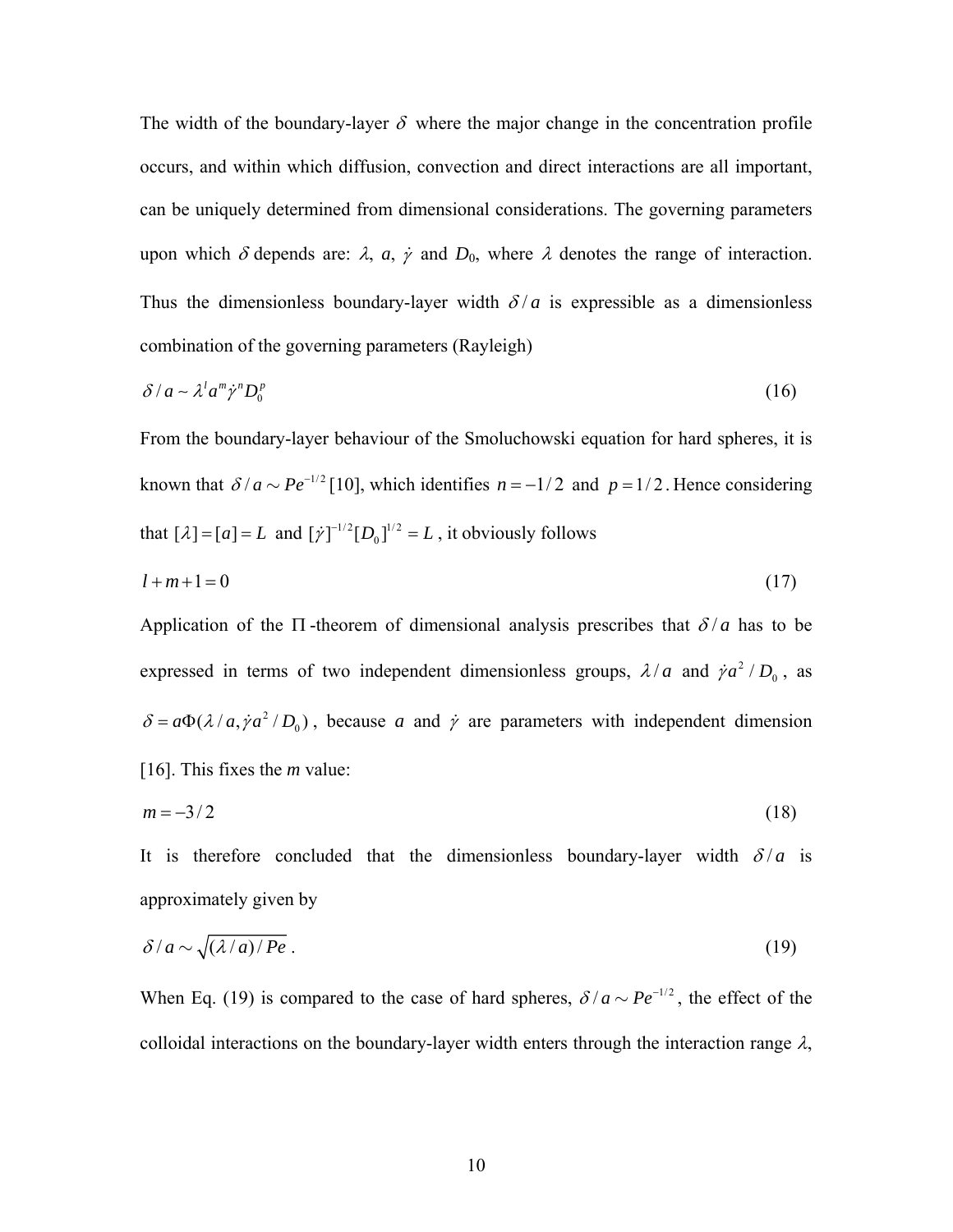The width of the boundary-layer  $\delta$  where the major change in the concentration profile occurs, and within which diffusion, convection and direct interactions are all important, can be uniquely determined from dimensional considerations. The governing parameters upon which  $\delta$  depends are:  $\lambda$ ,  $a$ ,  $\dot{\gamma}$  and  $D_0$ , where  $\lambda$  denotes the range of interaction. Thus the dimensionless boundary-layer width  $\delta/a$  is expressible as a dimensionless combination of the governing parameters (Rayleigh)

$$
\delta/a \sim \lambda^l a^m \dot{\gamma}^n D_0^p \tag{16}
$$

From the boundary-layer behaviour of the Smoluchowski equation for hard spheres, it is known that  $\delta/a \sim Pe^{-1/2}$  [10], which identifies  $n = -1/2$  and  $p = 1/2$ . Hence considering that  $[\lambda] = [a] = L$  and  $[\dot{\gamma}]^{-1/2} [D_0]^{1/2} = L$ , it obviously follows

$$
l+m+1=0\tag{17}
$$

Application of the  $\Pi$ -theorem of dimensional analysis prescribes that  $\delta/a$  has to be expressed in terms of two independent dimensionless groups,  $\lambda/a$  and  $\dot{\gamma}a^2/D_0$ , as  $\delta = a\Phi(\lambda/a, \dot{\gamma}a^2/D_0)$ , because *a* and  $\dot{\gamma}$  are parameters with independent dimension [16]. This fixes the *m* value:

$$
m = -3/2 \tag{18}
$$

It is therefore concluded that the dimensionless boundary-layer width  $\delta/a$  is approximately given by

$$
\delta/a \sim \sqrt{(\lambda/a)/Pe} \ . \tag{19}
$$

When Eq. (19) is compared to the case of hard spheres,  $\delta/a \sim Pe^{-1/2}$ , the effect of the colloidal interactions on the boundary-layer width enters through the interaction range  $\lambda$ ,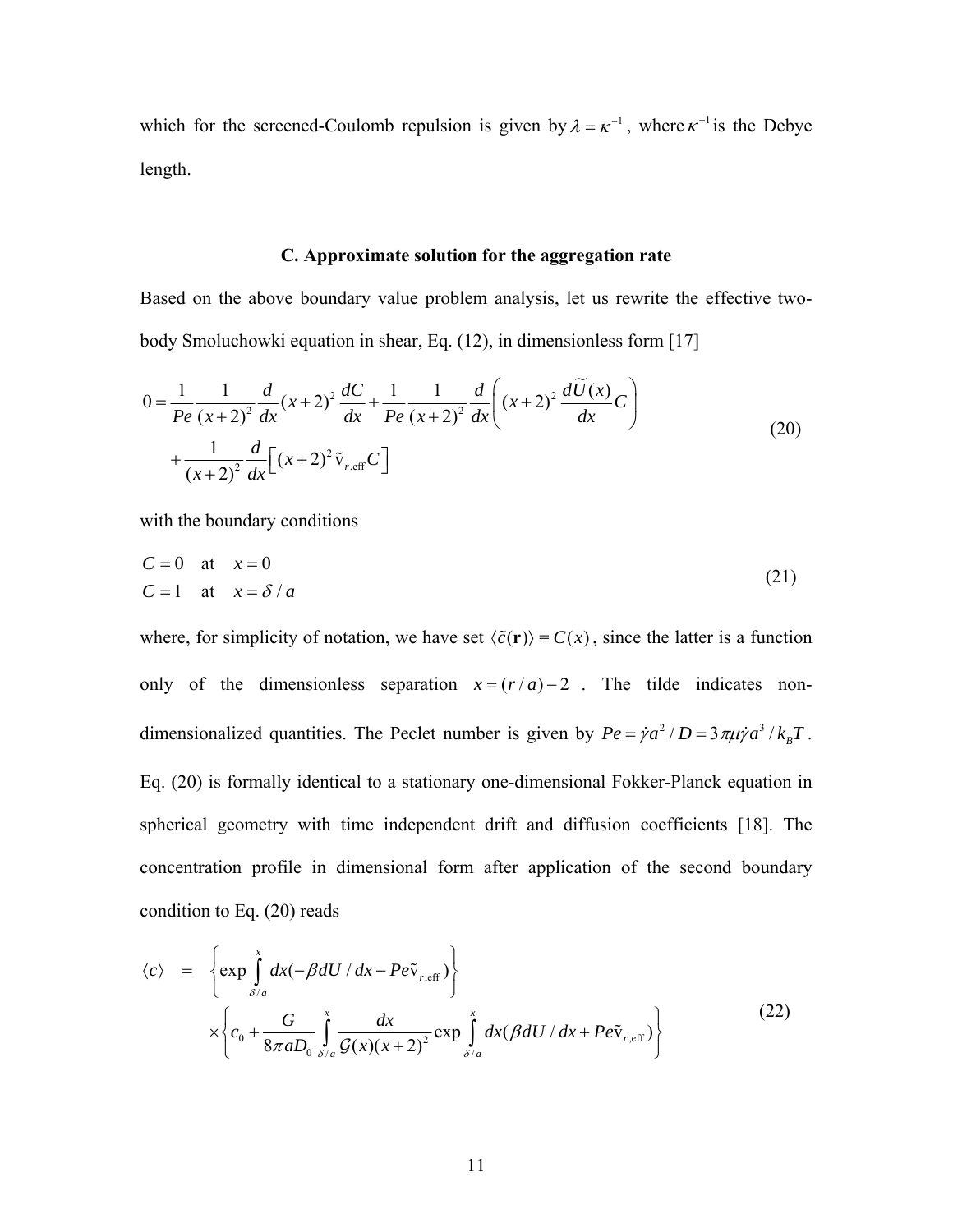which for the screened-Coulomb repulsion is given by  $\lambda = \kappa^{-1}$ , where  $\kappa^{-1}$  is the Debye length.

# **C. Approximate solution for the aggregation rate**

Based on the above boundary value problem analysis, let us rewrite the effective twobody Smoluchowki equation in shear, Eq. (12), in dimensionless form [17]

$$
0 = \frac{1}{Pe} \frac{1}{(x+2)^2} \frac{d}{dx} (x+2)^2 \frac{dC}{dx} + \frac{1}{Pe} \frac{1}{(x+2)^2} \frac{d}{dx} \left[ (x+2)^2 \frac{d\widetilde{U}(x)}{dx} C \right] + \frac{1}{(x+2)^2} \frac{d}{dx} \left[ (x+2)^2 \widetilde{v}_{r, \text{eff}} C \right]
$$
(20)

with the boundary conditions

$$
C = 0 \quad \text{at} \quad x = 0
$$
  
\n
$$
C = 1 \quad \text{at} \quad x = \delta / a
$$
\n(21)

where, for simplicity of notation, we have set  $\langle \tilde{c}(\mathbf{r}) \rangle = C(x)$ , since the latter is a function only of the dimensionless separation  $x = (r/a) - 2$ . The tilde indicates nondimensionalized quantities. The Peclet number is given by  $Pe = \dot{\gamma}a^2/D = 3\pi\mu\dot{\gamma}a^3/k_B T$ . Eq. (20) is formally identical to a stationary one-dimensional Fokker-Planck equation in spherical geometry with time independent drift and diffusion coefficients [18]. The concentration profile in dimensional form after application of the second boundary condition to Eq. (20) reads

$$
\langle c \rangle = \left\{ \exp \int_{\delta/a}^{x} dx \left( -\beta dU / dx - Pe \tilde{v}_{r,eff} \right) \right\} \times \left\{ c_0 + \frac{G}{8\pi a D_0} \int_{\delta/a}^{x} \frac{dx}{\mathcal{G}(x)(x+2)^2} \exp \int_{\delta/a}^{x} dx (\beta dU / dx + Pe \tilde{v}_{r,eff}) \right\}
$$
(22)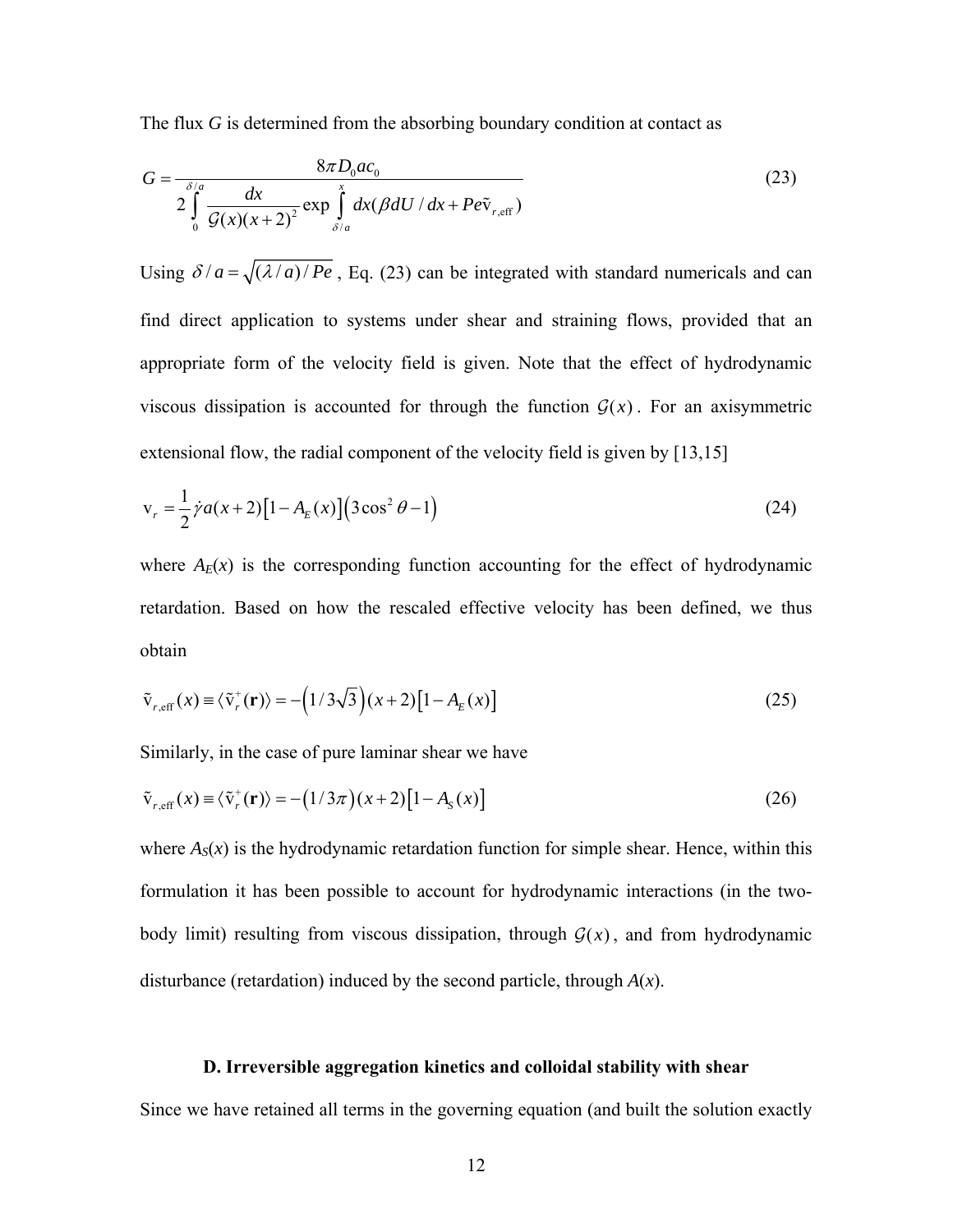The flux *G* is determined from the absorbing boundary condition at contact as

$$
G = \frac{8\pi D_0 a c_0}{2\int_0^x \frac{dx}{\mathcal{G}(x)(x+2)^2} \exp\int_{\delta/a}^x dx (\beta dU/dx + Pe\tilde{v}_{r,\text{eff}})}
$$
(23)

Using  $\delta/a = \sqrt{(\lambda/a)/Pe}$ , Eq. (23) can be integrated with standard numericals and can find direct application to systems under shear and straining flows, provided that an appropriate form of the velocity field is given. Note that the effect of hydrodynamic viscous dissipation is accounted for through the function  $G(x)$ . For an axisymmetric extensional flow, the radial component of the velocity field is given by [13,15]

$$
v_r = \frac{1}{2} \dot{\gamma} a(x+2) \left[ 1 - A_E(x) \right] \left( 3 \cos^2 \theta - 1 \right)
$$
 (24)

where  $A_E(x)$  is the corresponding function accounting for the effect of hydrodynamic retardation. Based on how the rescaled effective velocity has been defined, we thus obtain

$$
\tilde{\mathbf{v}}_{r,\text{eff}}(x) \equiv \langle \tilde{\mathbf{v}}_r^+(\mathbf{r}) \rangle = -\left(1/3\sqrt{3}\right)(x+2)\left[1-A_E(x)\right] \tag{25}
$$

Similarly, in the case of pure laminar shear we have

$$
\tilde{\mathbf{v}}_{r,\text{eff}}(x) \equiv \langle \tilde{\mathbf{v}}_r^+(\mathbf{r}) \rangle = -\left(1/3\pi\right)\left(x+2\right)\left[1-A_s(x)\right] \tag{26}
$$

where  $A_{S}(x)$  is the hydrodynamic retardation function for simple shear. Hence, within this formulation it has been possible to account for hydrodynamic interactions (in the twobody limit) resulting from viscous dissipation, through  $G(x)$ , and from hydrodynamic disturbance (retardation) induced by the second particle, through *A*(*x*).

# **D. Irreversible aggregation kinetics and colloidal stability with shear**

Since we have retained all terms in the governing equation (and built the solution exactly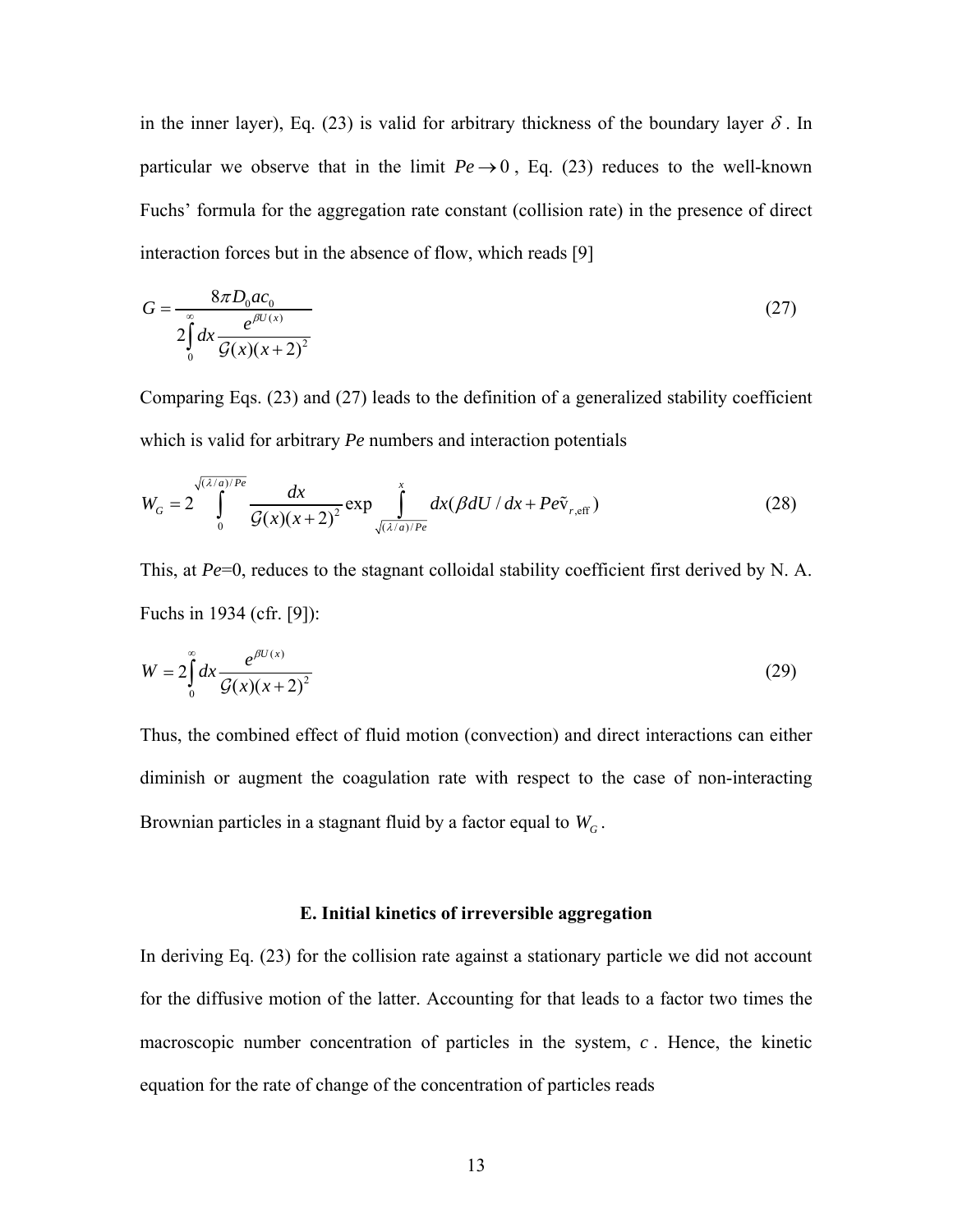in the inner layer), Eq. (23) is valid for arbitrary thickness of the boundary layer  $\delta$ . In particular we observe that in the limit  $Pe \rightarrow 0$ , Eq. (23) reduces to the well-known Fuchs' formula for the aggregation rate constant (collision rate) in the presence of direct interaction forces but in the absence of flow, which reads [9]

$$
G = \frac{8\pi D_0 a c_0}{2 \int_0^\infty dx \frac{e^{\beta U(x)}}{\mathcal{G}(x)(x+2)^2}}
$$
(27)

Comparing Eqs. (23) and (27) leads to the definition of a generalized stability coefficient which is valid for arbitrary *Pe* numbers and interaction potentials

$$
W_G = 2 \int_0^{\sqrt{(\lambda/a)/Pe}} \frac{dx}{\mathcal{G}(x)(x+2)^2} \exp \int_{\sqrt{(\lambda/a)/Pe}}^x dx (\beta dU / dx + Pe\tilde{v}_{r,\text{eff}})
$$
(28)

This, at *Pe*=0, reduces to the stagnant colloidal stability coefficient first derived by N. A. Fuchs in 1934 (cfr. [9]):

$$
W = 2\int_{0}^{\infty} dx \frac{e^{\beta U(x)}}{\mathcal{G}(x)(x+2)^2}
$$
 (29)

Thus, the combined effect of fluid motion (convection) and direct interactions can either diminish or augment the coagulation rate with respect to the case of non-interacting Brownian particles in a stagnant fluid by a factor equal to  $W_c$ .

# **E. Initial kinetics of irreversible aggregation**

In deriving Eq. (23) for the collision rate against a stationary particle we did not account for the diffusive motion of the latter. Accounting for that leads to a factor two times the macroscopic number concentration of particles in the system, *c* . Hence, the kinetic equation for the rate of change of the concentration of particles reads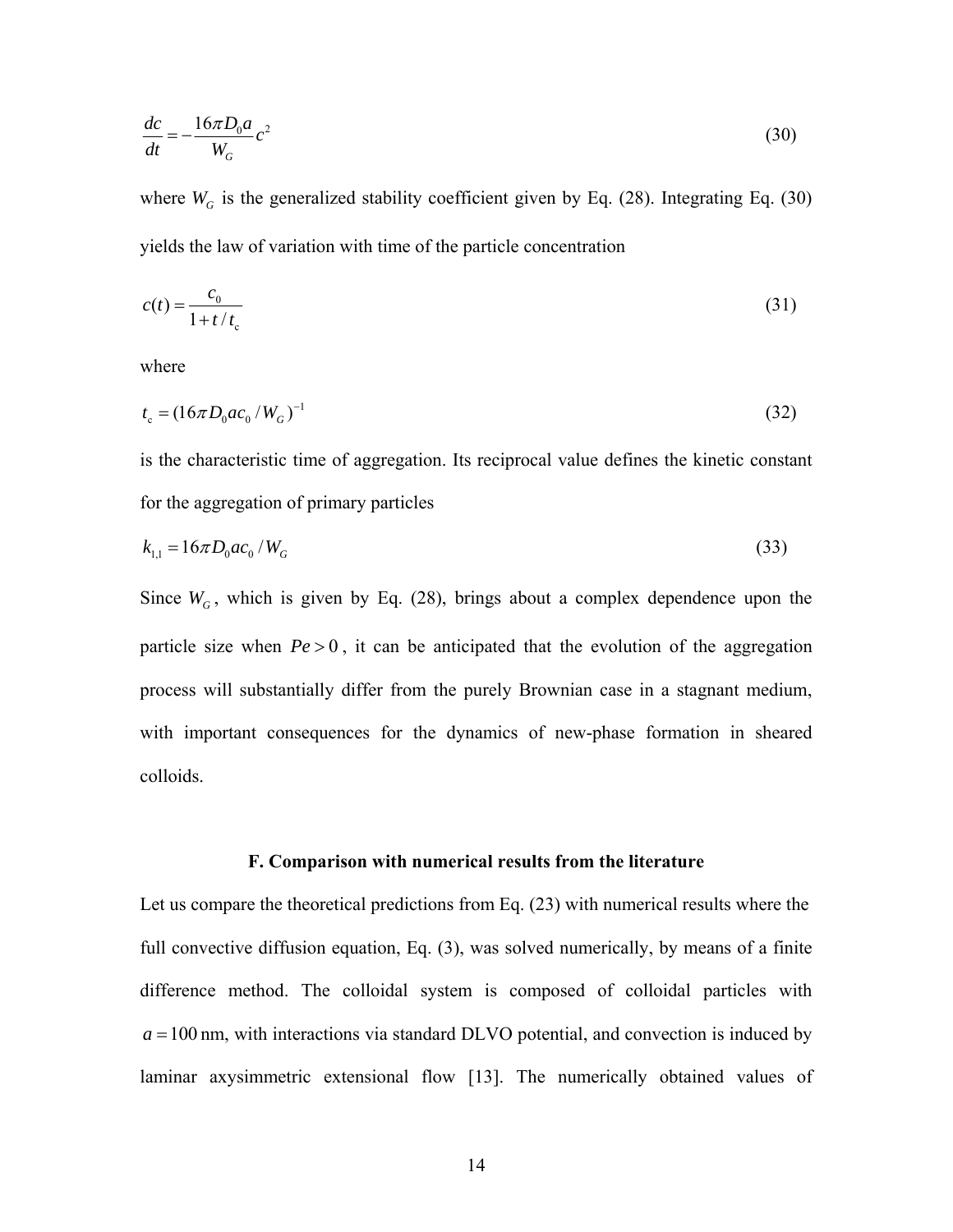$$
\frac{dc}{dt} = -\frac{16\pi D_0 a}{W_G}c^2\tag{30}
$$

where  $W_G$  is the generalized stability coefficient given by Eq. (28). Integrating Eq. (30) yields the law of variation with time of the particle concentration

$$
c(t) = \frac{c_0}{1 + t/t_c} \tag{31}
$$

where

$$
t_c = (16\pi D_0 a c_0 / W_G)^{-1}
$$
\n(32)

is the characteristic time of aggregation. Its reciprocal value defines the kinetic constant for the aggregation of primary particles

$$
k_{1,1} = 16\pi D_0 a c_0 / W_G \tag{33}
$$

Since  $W_G$ , which is given by Eq. (28), brings about a complex dependence upon the particle size when  $Pe > 0$ , it can be anticipated that the evolution of the aggregation process will substantially differ from the purely Brownian case in a stagnant medium, with important consequences for the dynamics of new-phase formation in sheared colloids.

#### **F. Comparison with numerical results from the literature**

Let us compare the theoretical predictions from Eq. (23) with numerical results where the full convective diffusion equation, Eq. (3), was solved numerically, by means of a finite difference method. The colloidal system is composed of colloidal particles with  $a = 100$  nm, with interactions via standard DLVO potential, and convection is induced by laminar axysimmetric extensional flow [13]. The numerically obtained values of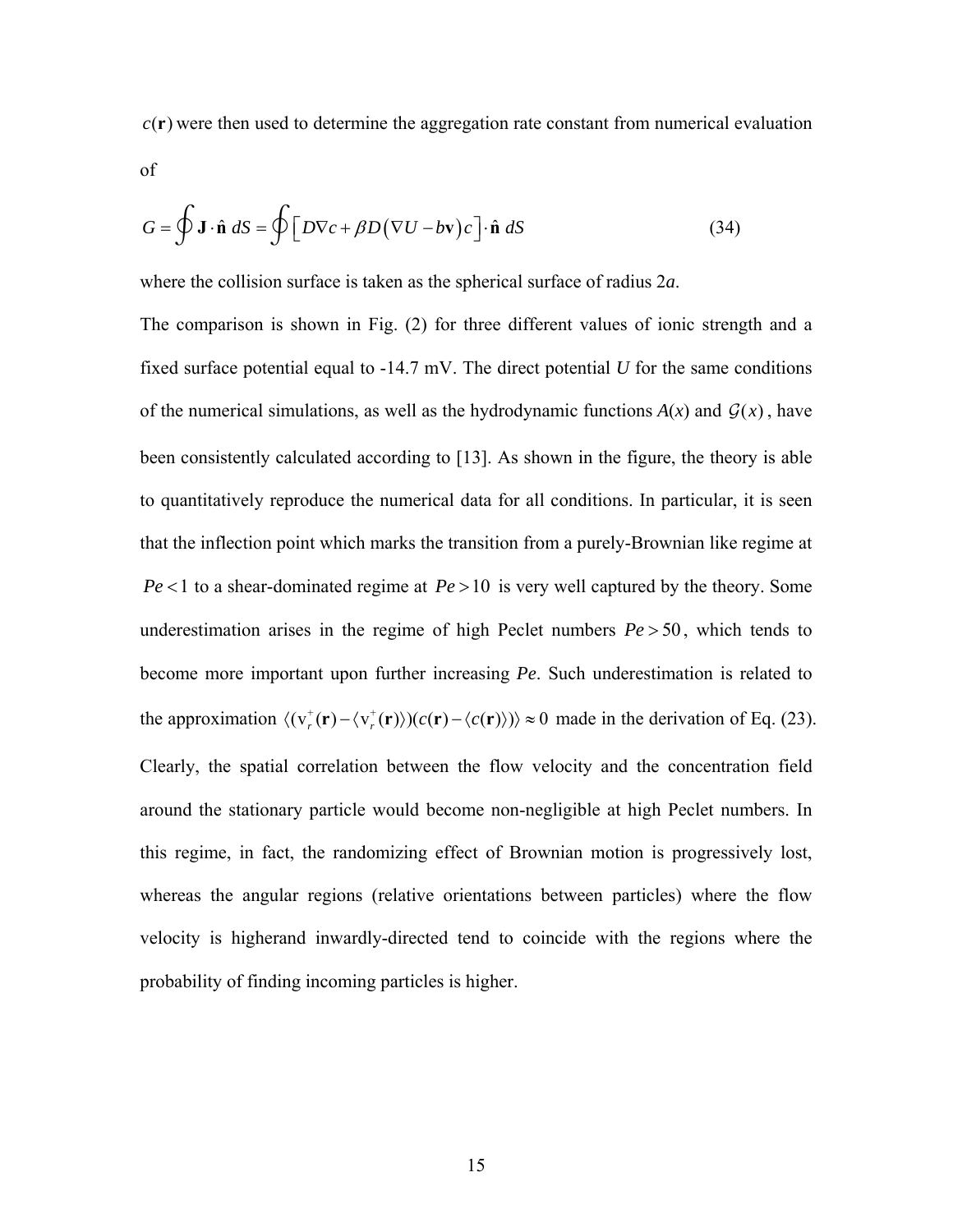$c(\mathbf{r})$  were then used to determine the aggregation rate constant from numerical evaluation of

$$
G = \oint \mathbf{J} \cdot \hat{\mathbf{n}} \, dS = \oint \left[ D \nabla c + \beta D (\nabla U - b \mathbf{v}) c \right] \cdot \hat{\mathbf{n}} \, dS \tag{34}
$$

where the collision surface is taken as the spherical surface of radius 2*a*.

The comparison is shown in Fig. (2) for three different values of ionic strength and a fixed surface potential equal to -14.7 mV. The direct potential *U* for the same conditions of the numerical simulations, as well as the hydrodynamic functions  $A(x)$  and  $G(x)$ , have been consistently calculated according to [13]. As shown in the figure, the theory is able to quantitatively reproduce the numerical data for all conditions. In particular, it is seen that the inflection point which marks the transition from a purely-Brownian like regime at  $Pe < 1$  to a shear-dominated regime at  $Pe > 10$  is very well captured by the theory. Some underestimation arises in the regime of high Peclet numbers  $Pe > 50$ , which tends to become more important upon further increasing *Pe*. Such underestimation is related to the approximation  $\langle (v_r^*(\mathbf{r}) - \langle v_r^*(\mathbf{r}) \rangle)(c(\mathbf{r}) - \langle c(\mathbf{r}) \rangle) \rangle \approx 0$  made in the derivation of Eq. (23). Clearly, the spatial correlation between the flow velocity and the concentration field around the stationary particle would become non-negligible at high Peclet numbers. In this regime, in fact, the randomizing effect of Brownian motion is progressively lost, whereas the angular regions (relative orientations between particles) where the flow velocity is higherand inwardly-directed tend to coincide with the regions where the probability of finding incoming particles is higher.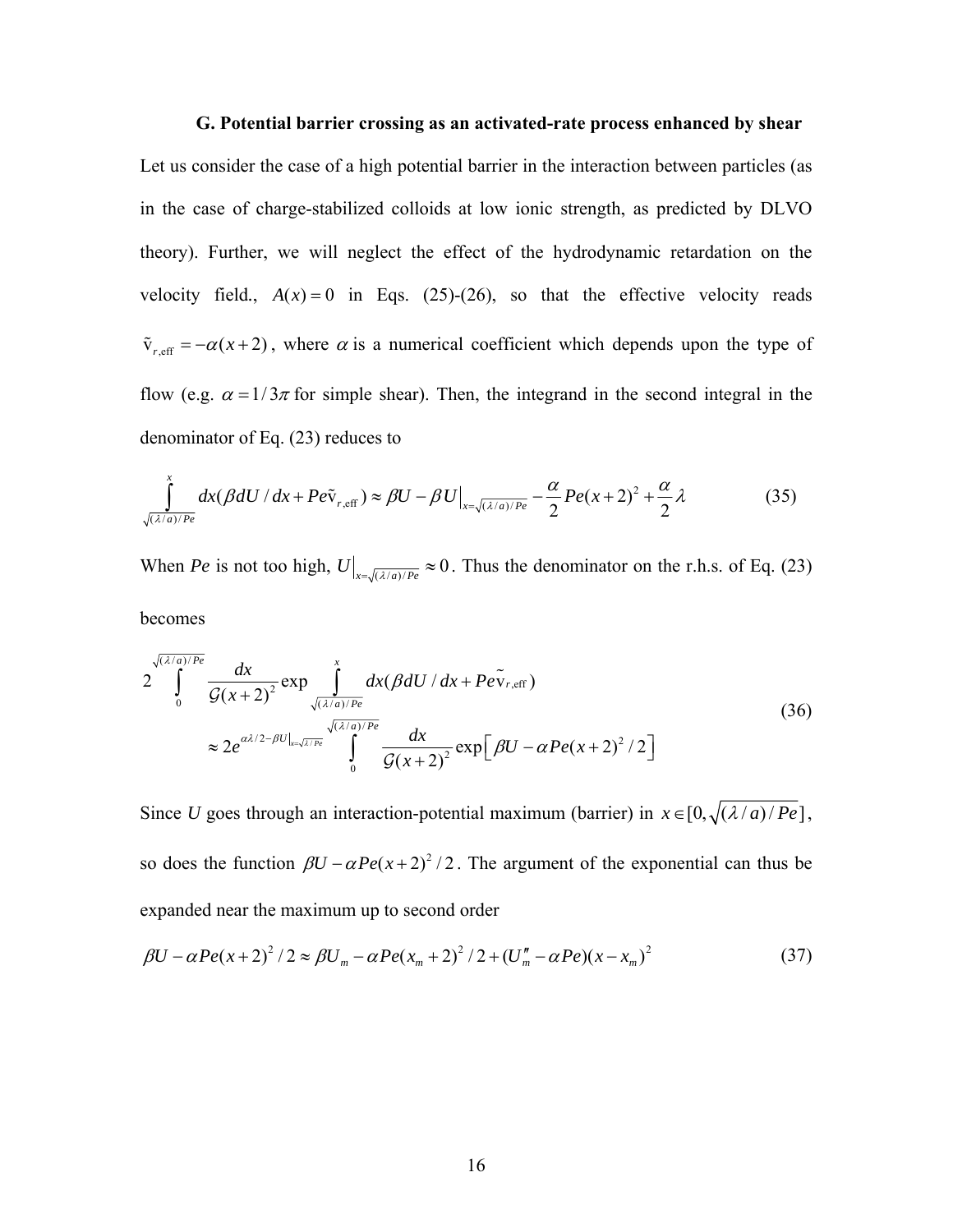# **G. Potential barrier crossing as an activated-rate process enhanced by shear**

Let us consider the case of a high potential barrier in the interaction between particles (as in the case of charge-stabilized colloids at low ionic strength, as predicted by DLVO theory). Further, we will neglect the effect of the hydrodynamic retardation on the velocity field.,  $A(x) = 0$  in Eqs. (25)-(26), so that the effective velocity reads  $\tilde{v}_{r, \text{eff}} = -\alpha(x+2)$ , where  $\alpha$  is a numerical coefficient which depends upon the type of flow (e.g.  $\alpha = 1/3\pi$  for simple shear). Then, the integrand in the second integral in the denominator of Eq. (23) reduces to

$$
\int_{\sqrt{(\lambda/a)/Pe}}^x dx (\beta dU / dx + Pe\tilde{v}_{r,eff}) \approx \beta U - \beta U\big|_{x = \sqrt{(\lambda/a)/Pe}} - \frac{\alpha}{2} Pe(x+2)^2 + \frac{\alpha}{2}\lambda
$$
\n(35)

When *Pe* is not too high,  $U|_{x=\sqrt{(\lambda/a)/P_e}} \approx 0$ . Thus the denominator on the r.h.s. of Eq. (23)

becomes

$$
2\int_{0}^{\sqrt{(\lambda/a)/Pe}} \frac{dx}{\mathcal{G}(x+2)^2} \exp \int_{\sqrt{(\lambda/a)/Pe}}^{x} dx (\beta dU / dx + Pe\tilde{v}_{r,eff})
$$
  

$$
\approx 2e^{\alpha\lambda/2-\beta U|_{x=\sqrt{\lambda/Pe}}} \int_{0}^{x} \frac{dx}{\mathcal{G}(x+2)^2} \exp [\beta U - \alpha Pe(x+2)^2 / 2]
$$
(36)

Since *U* goes through an interaction-potential maximum (barrier) in  $x \in [0, \sqrt{(\lambda/a) / Pe}]$ , so does the function  $\beta U - \alpha Pe(x+2)^2/2$ . The argument of the exponential can thus be expanded near the maximum up to second order

$$
\beta U - \alpha Pe(x+2)^2 / 2 \approx \beta U_m - \alpha Pe(x_m+2)^2 / 2 + (U_m'' - \alpha Pe)(x-x_m)^2 \tag{37}
$$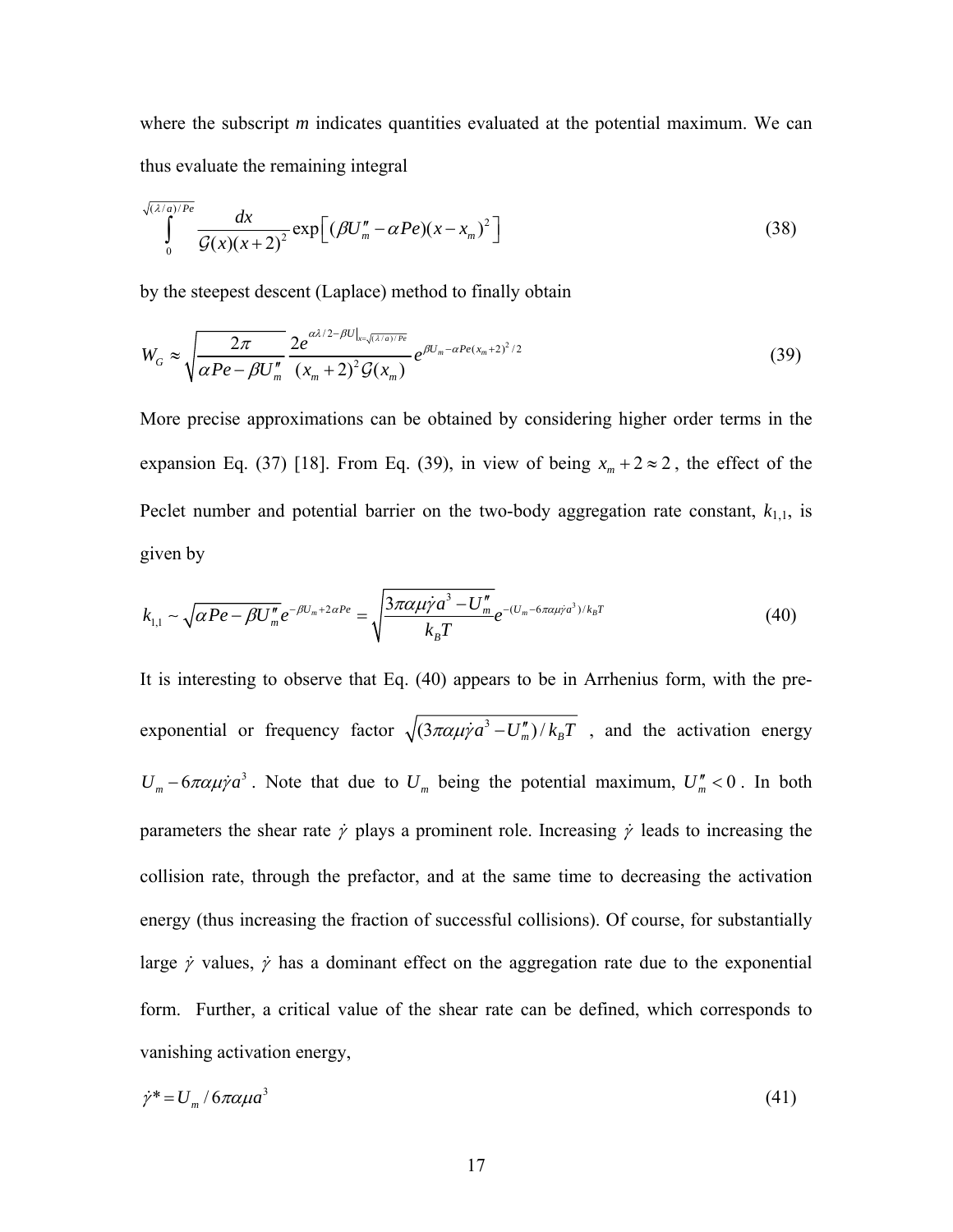where the subscript *m* indicates quantities evaluated at the potential maximum. We can thus evaluate the remaining integral

$$
\int_{0}^{\sqrt{(\lambda/a)/Pe}} \frac{dx}{\mathcal{G}(x)(x+2)^2} \exp\left[ (\beta U_m'' - \alpha Pe)(x - x_m)^2 \right] \tag{38}
$$

by the steepest descent (Laplace) method to finally obtain

$$
W_G \approx \sqrt{\frac{2\pi}{\alpha Pe - \beta U_m''}} \frac{2e^{\alpha\lambda/2 - \beta U_{x=\sqrt{(\lambda/a)/Pe}}}}{(x_m + 2)^2 \mathcal{G}(x_m)} e^{\beta U_m - \alpha Pe(x_m + 2)^2/2}
$$
(39)

More precise approximations can be obtained by considering higher order terms in the expansion Eq. (37) [18]. From Eq. (39), in view of being  $x_m + 2 \approx 2$ , the effect of the Peclet number and potential barrier on the two-body aggregation rate constant,  $k_{1,1}$ , is given by

$$
k_{1,1} \sim \sqrt{\alpha Pe - \beta U_m''} e^{-\beta U_m + 2\alpha Pe} = \sqrt{\frac{3\pi \alpha \mu \dot{\gamma} a^3 - U_m''}{k_B T}} e^{-(U_m - 6\pi \alpha \mu \dot{\gamma} a^3)/k_B T}
$$
(40)

It is interesting to observe that Eq. (40) appears to be in Arrhenius form, with the preexponential or frequency factor  $\sqrt{\frac{3\pi\alpha\mu\gamma a^3 - U_m''}{k_B T}}$ , and the activation energy  $U_m - 6\pi \alpha \mu \dot{\gamma} a^3$ . Note that due to  $U_m$  being the potential maximum,  $U_m'' < 0$ . In both parameters the shear rate  $\dot{\gamma}$  plays a prominent role. Increasing  $\dot{\gamma}$  leads to increasing the collision rate, through the prefactor, and at the same time to decreasing the activation energy (thus increasing the fraction of successful collisions). Of course, for substantially large  $\dot{\gamma}$  values,  $\dot{\gamma}$  has a dominant effect on the aggregation rate due to the exponential form. Further, a critical value of the shear rate can be defined, which corresponds to vanishing activation energy,

$$
\dot{\gamma}^* = U_m / 6\pi \alpha \mu a^3 \tag{41}
$$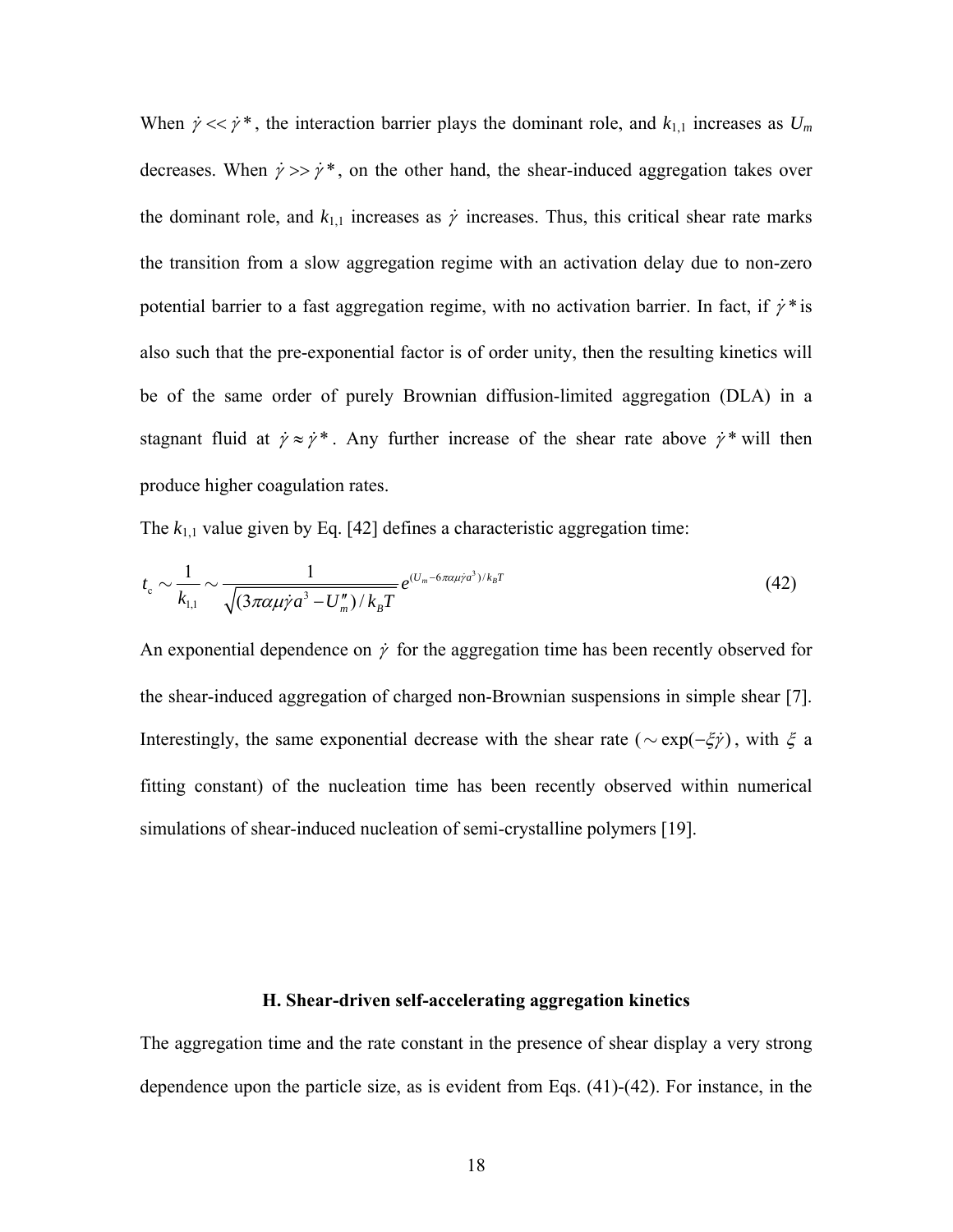When  $\dot{\gamma} \ll \dot{\gamma}^*$ , the interaction barrier plays the dominant role, and  $k_{1,1}$  increases as  $U_m$ decreases. When  $\dot{\gamma} >> \dot{\gamma}^*$ , on the other hand, the shear-induced aggregation takes over the dominant role, and  $k_{1,1}$  increases as  $\dot{\gamma}$  increases. Thus, this critical shear rate marks the transition from a slow aggregation regime with an activation delay due to non-zero potential barrier to a fast aggregation regime, with no activation barrier. In fact, if  $\dot{\gamma}^*$  is also such that the pre-exponential factor is of order unity, then the resulting kinetics will be of the same order of purely Brownian diffusion-limited aggregation (DLA) in a stagnant fluid at  $\dot{\gamma} \approx \dot{\gamma}^*$ . Any further increase of the shear rate above  $\dot{\gamma}^*$  will then produce higher coagulation rates.

The  $k_{1,1}$  value given by Eq. [42] defines a characteristic aggregation time:

$$
t_{\rm c} \sim \frac{1}{k_{\rm l,1}} \sim \frac{1}{\sqrt{(3\pi\alpha\mu\dot{\gamma}a^3 - U''_{\rm m})/k_{\rm B}T}} e^{(U_{\rm m}-6\pi\alpha\mu\dot{\gamma}a^3)/k_{\rm B}T}
$$
(42)

An exponential dependence on  $\dot{\gamma}$  for the aggregation time has been recently observed for the shear-induced aggregation of charged non-Brownian suspensions in simple shear [7]. Interestingly, the same exponential decrease with the shear rate ( $\sim \exp(-\xi \dot{\gamma})$ , with  $\xi$  a fitting constant) of the nucleation time has been recently observed within numerical simulations of shear-induced nucleation of semi-crystalline polymers [19].

# **H. Shear-driven self-accelerating aggregation kinetics**

The aggregation time and the rate constant in the presence of shear display a very strong dependence upon the particle size, as is evident from Eqs. (41)-(42). For instance, in the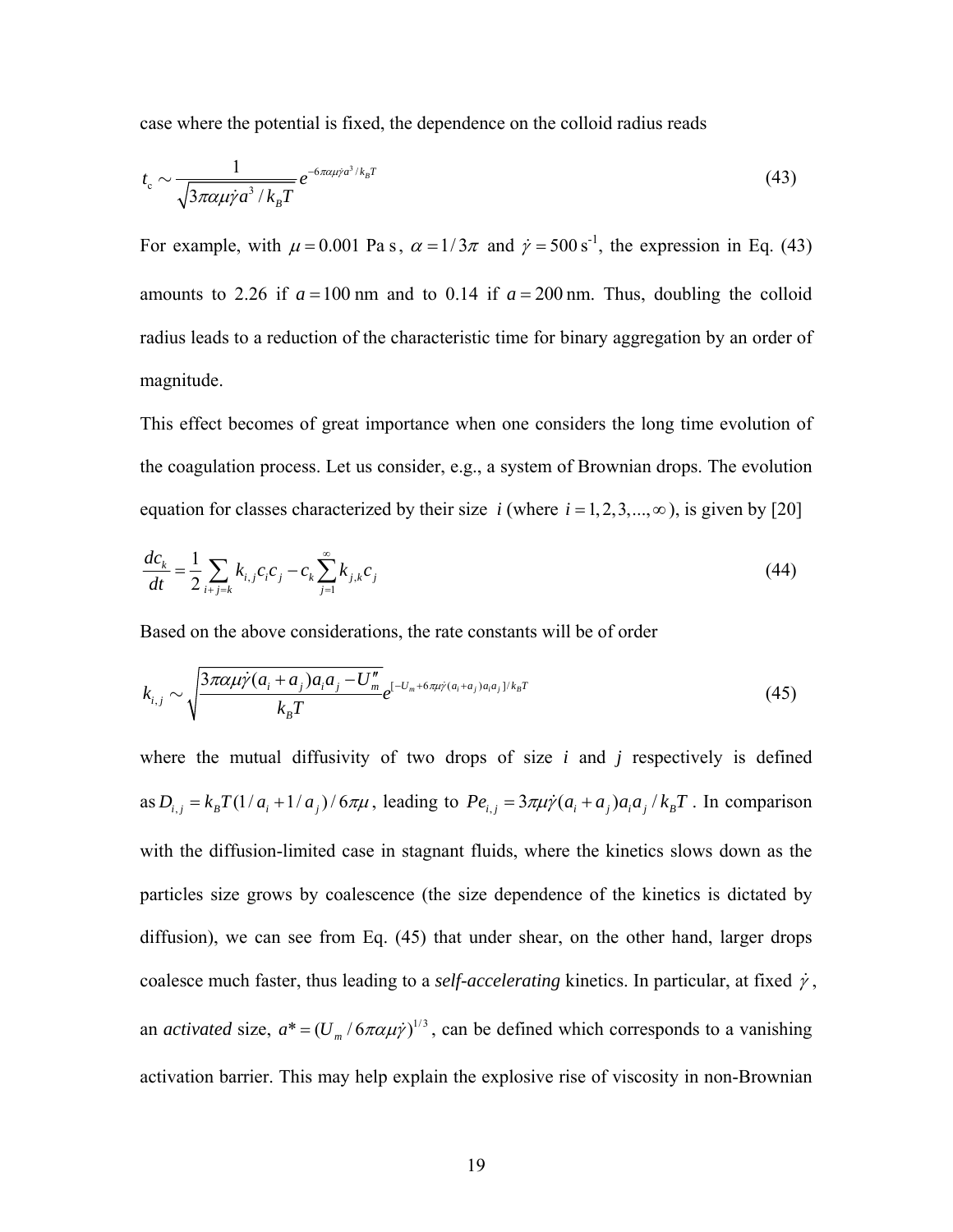case where the potential is fixed, the dependence on the colloid radius reads

$$
t_{\rm c} \sim \frac{1}{\sqrt{3\pi \alpha \mu \dot{\gamma} a^3 / k_{\rm B} T}} e^{-6\pi \alpha \mu \dot{\gamma} a^3 / k_{\rm B} T}
$$
(43)

For example, with  $\mu = 0.001$  Pa s,  $\alpha = 1/3\pi$  and  $\dot{\gamma} = 500 \,\text{s}^{-1}$ , the expression in Eq. (43) amounts to 2.26 if  $a = 100$  nm and to 0.14 if  $a = 200$  nm. Thus, doubling the colloid radius leads to a reduction of the characteristic time for binary aggregation by an order of magnitude.

This effect becomes of great importance when one considers the long time evolution of the coagulation process. Let us consider, e.g., a system of Brownian drops. The evolution equation for classes characterized by their size *i* (where  $i = 1, 2, 3, \dots, \infty$ ), is given by [20]

$$
\frac{dc_k}{dt} = \frac{1}{2} \sum_{i+j=k} k_{i,j} c_i c_j - c_k \sum_{j=1}^{\infty} k_{j,k} c_j
$$
\n(44)

Based on the above considerations, the rate constants will be of order

$$
k_{i,j} \sim \sqrt{\frac{3\pi \alpha \mu \dot{\gamma} (a_i + a_j) a_i a_j - U_m''}{k_B T}} e^{[-U_m + 6\pi \mu \dot{\gamma} (a_i + a_j) a_i a_j] / k_B T}
$$
(45)

where the mutual diffusivity of two drops of size *i* and *j* respectively is defined as  $D_{i,j} = k_B T (1/a_i + 1/a_j) / 6\pi\mu$ , leading to  $Pe_{i,j} = 3\pi\mu\dot{\gamma}(a_i + a_j)a_i a_j / k_B T$ . In comparison with the diffusion-limited case in stagnant fluids, where the kinetics slows down as the particles size grows by coalescence (the size dependence of the kinetics is dictated by diffusion), we can see from Eq. (45) that under shear, on the other hand, larger drops coalesce much faster, thus leading to a *self-accelerating* kinetics. In particular, at fixed  $\dot{\gamma}$ , an *activated* size,  $a^* = (U_m / 6\pi \alpha \mu \dot{\gamma})^{1/3}$ , can be defined which corresponds to a vanishing activation barrier. This may help explain the explosive rise of viscosity in non-Brownian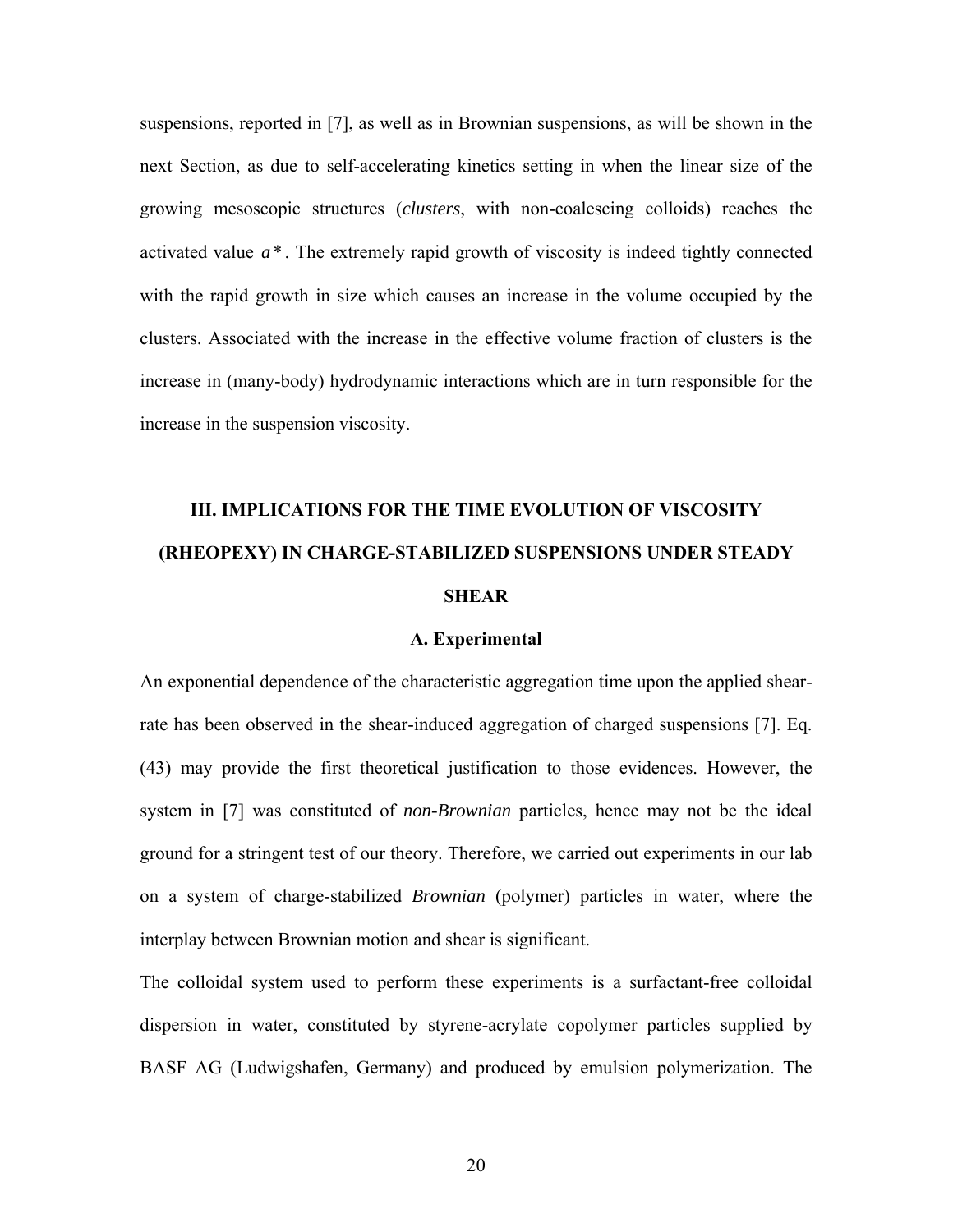suspensions, reported in [7], as well as in Brownian suspensions, as will be shown in the next Section, as due to self-accelerating kinetics setting in when the linear size of the growing mesoscopic structures (*clusters*, with non-coalescing colloids) reaches the activated value *a* \* . The extremely rapid growth of viscosity is indeed tightly connected with the rapid growth in size which causes an increase in the volume occupied by the clusters. Associated with the increase in the effective volume fraction of clusters is the increase in (many-body) hydrodynamic interactions which are in turn responsible for the increase in the suspension viscosity.

# **III. IMPLICATIONS FOR THE TIME EVOLUTION OF VISCOSITY (RHEOPEXY) IN CHARGE-STABILIZED SUSPENSIONS UNDER STEADY SHEAR**

# **A. Experimental**

An exponential dependence of the characteristic aggregation time upon the applied shearrate has been observed in the shear-induced aggregation of charged suspensions [7]. Eq. (43) may provide the first theoretical justification to those evidences. However, the system in [7] was constituted of *non-Brownian* particles, hence may not be the ideal ground for a stringent test of our theory. Therefore, we carried out experiments in our lab on a system of charge-stabilized *Brownian* (polymer) particles in water, where the interplay between Brownian motion and shear is significant.

The colloidal system used to perform these experiments is a surfactant-free colloidal dispersion in water, constituted by styrene-acrylate copolymer particles supplied by BASF AG (Ludwigshafen, Germany) and produced by emulsion polymerization. The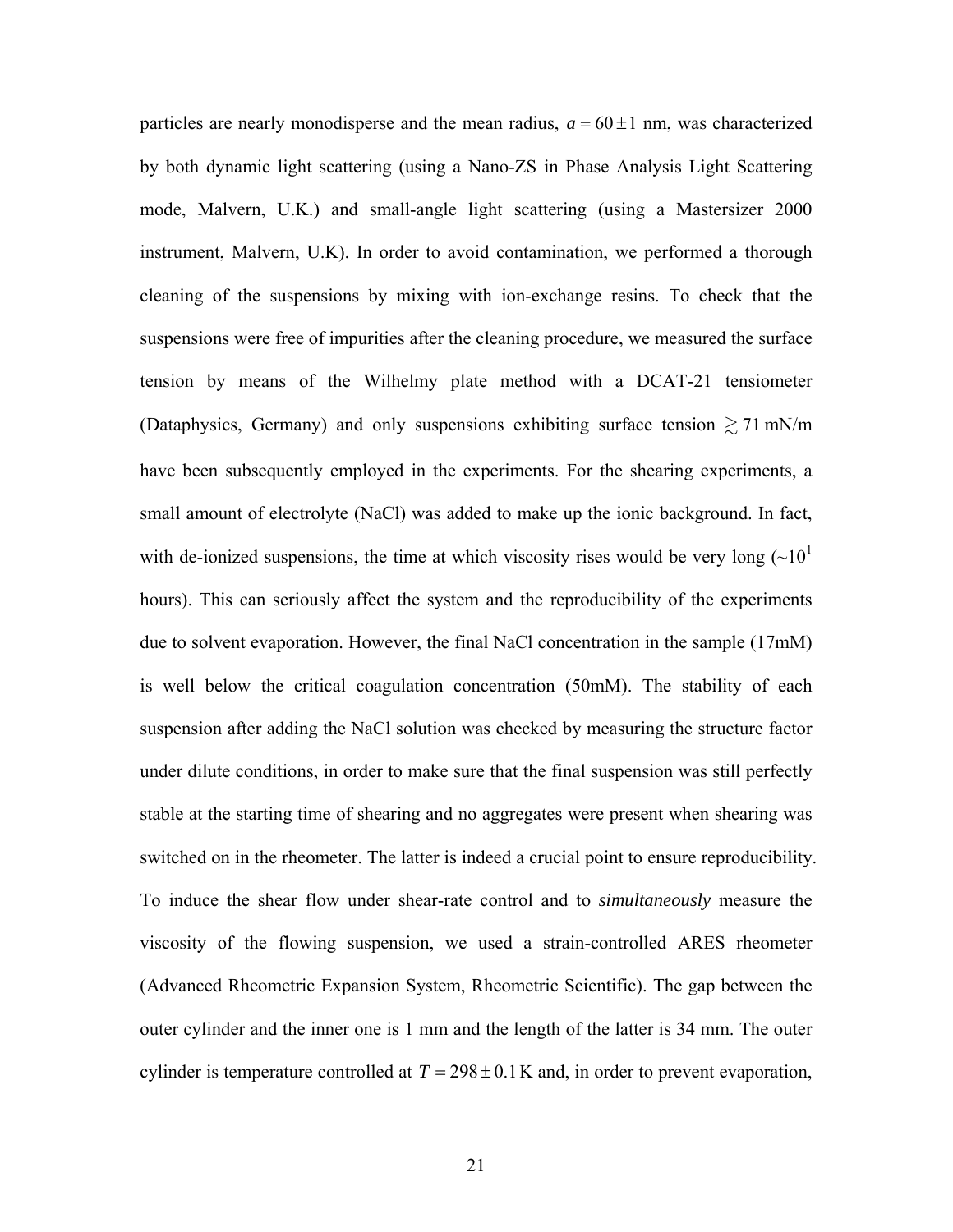particles are nearly monodisperse and the mean radius,  $a = 60 \pm 1$  nm, was characterized by both dynamic light scattering (using a Nano-ZS in Phase Analysis Light Scattering mode, Malvern, U.K.) and small-angle light scattering (using a Mastersizer 2000 instrument, Malvern, U.K). In order to avoid contamination, we performed a thorough cleaning of the suspensions by mixing with ion-exchange resins. To check that the suspensions were free of impurities after the cleaning procedure, we measured the surface tension by means of the Wilhelmy plate method with a DCAT-21 tensiometer (Dataphysics, Germany) and only suspensions exhibiting surface tension  $\gtrsim$  71 mN/m have been subsequently employed in the experiments. For the shearing experiments, a small amount of electrolyte (NaCl) was added to make up the ionic background. In fact, with de-ionized suspensions, the time at which viscosity rises would be very long  $(\sim 10^1$ hours). This can seriously affect the system and the reproducibility of the experiments due to solvent evaporation. However, the final NaCl concentration in the sample (17mM) is well below the critical coagulation concentration (50mM). The stability of each suspension after adding the NaCl solution was checked by measuring the structure factor under dilute conditions, in order to make sure that the final suspension was still perfectly stable at the starting time of shearing and no aggregates were present when shearing was switched on in the rheometer. The latter is indeed a crucial point to ensure reproducibility. To induce the shear flow under shear-rate control and to *simultaneously* measure the viscosity of the flowing suspension, we used a strain-controlled ARES rheometer (Advanced Rheometric Expansion System, Rheometric Scientific). The gap between the outer cylinder and the inner one is 1 mm and the length of the latter is 34 mm. The outer cylinder is temperature controlled at  $T = 298 \pm 0.1$  K and, in order to prevent evaporation,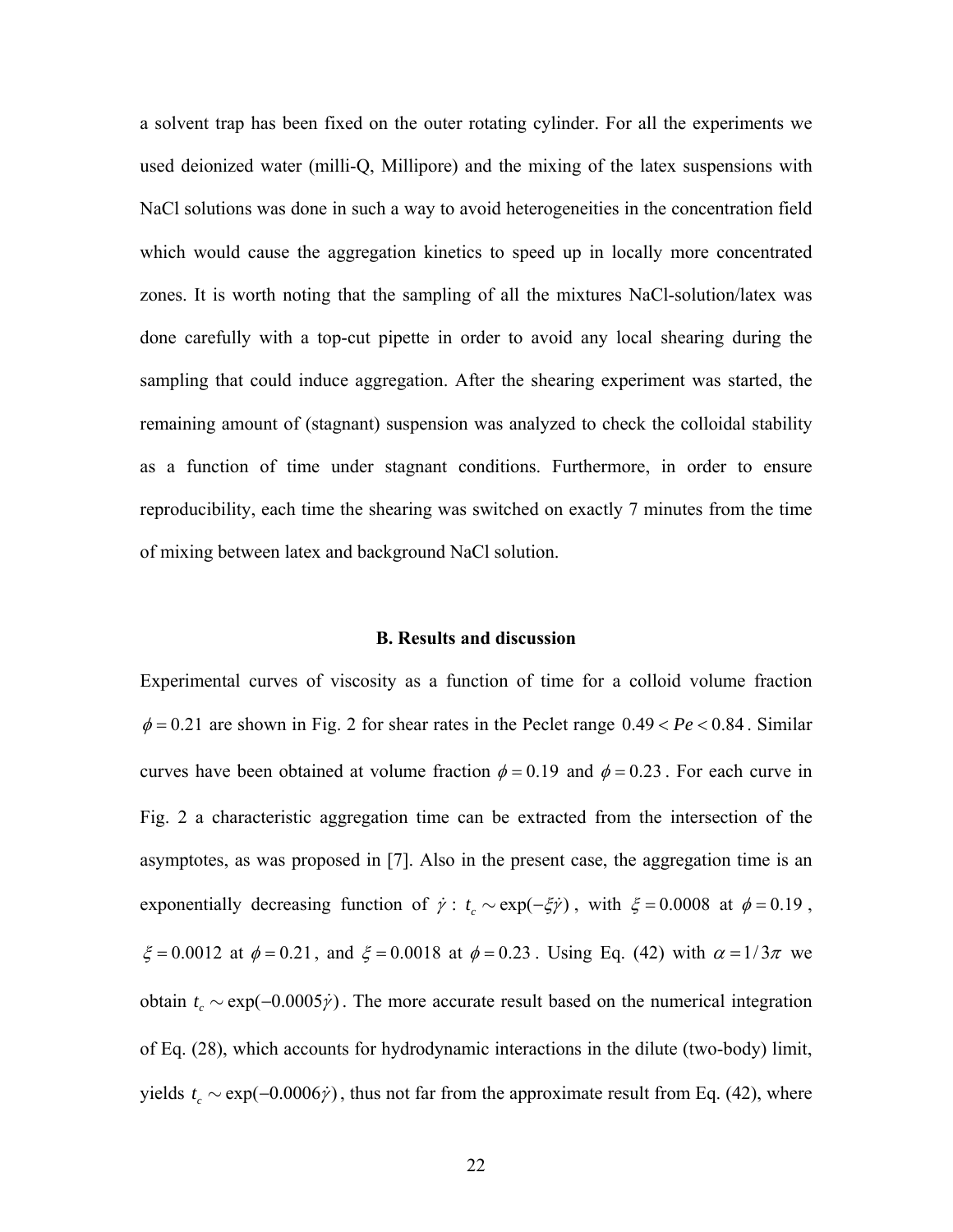a solvent trap has been fixed on the outer rotating cylinder. For all the experiments we used deionized water (milli-Q, Millipore) and the mixing of the latex suspensions with NaCl solutions was done in such a way to avoid heterogeneities in the concentration field which would cause the aggregation kinetics to speed up in locally more concentrated zones. It is worth noting that the sampling of all the mixtures NaCl-solution/latex was done carefully with a top-cut pipette in order to avoid any local shearing during the sampling that could induce aggregation. After the shearing experiment was started, the remaining amount of (stagnant) suspension was analyzed to check the colloidal stability as a function of time under stagnant conditions. Furthermore, in order to ensure reproducibility, each time the shearing was switched on exactly 7 minutes from the time of mixing between latex and background NaCl solution.

# **B. Results and discussion**

Experimental curves of viscosity as a function of time for a colloid volume fraction  $\phi = 0.21$  are shown in Fig. 2 for shear rates in the Peclet range  $0.49 < Pe < 0.84$ . Similar curves have been obtained at volume fraction  $\phi = 0.19$  and  $\phi = 0.23$ . For each curve in Fig. 2 a characteristic aggregation time can be extracted from the intersection of the asymptotes, as was proposed in [7]. Also in the present case, the aggregation time is an exponentially decreasing function of  $\dot{\gamma}$ :  $t_c \sim \exp(-\xi \dot{\gamma})$ , with  $\xi = 0.0008$  at  $\phi = 0.19$ ,  $\xi = 0.0012$  at  $\phi = 0.21$ , and  $\xi = 0.0018$  at  $\phi = 0.23$ . Using Eq. (42) with  $\alpha = 1/3\pi$  we obtain  $t_c \sim \exp(-0.0005 \dot{\gamma})$ . The more accurate result based on the numerical integration of Eq. (28), which accounts for hydrodynamic interactions in the dilute (two-body) limit, yields  $t_c \sim \exp(-0.0006 \dot{\gamma})$ , thus not far from the approximate result from Eq. (42), where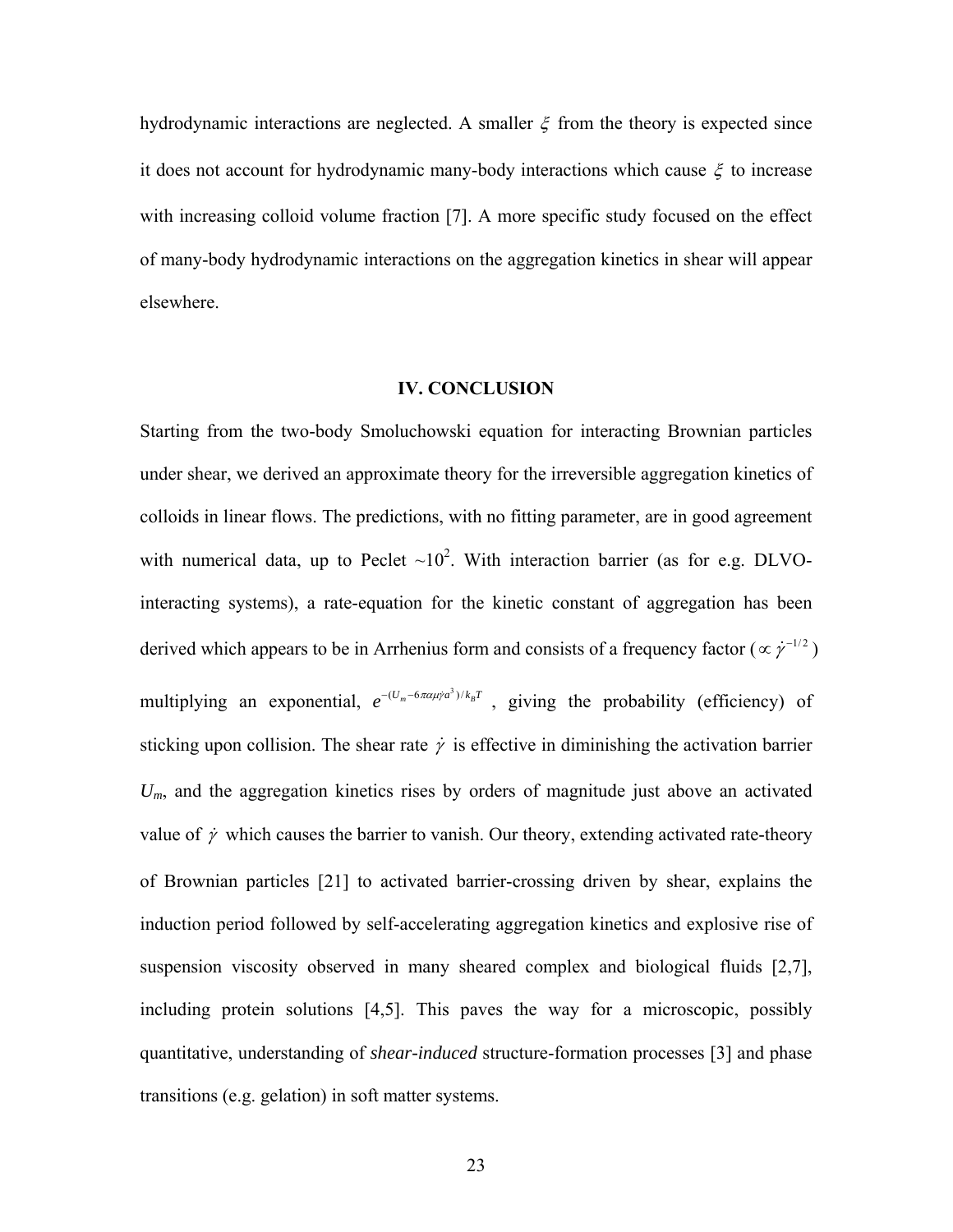hydrodynamic interactions are neglected. A smaller  $\xi$  from the theory is expected since it does not account for hydrodynamic many-body interactions which cause  $\xi$  to increase with increasing colloid volume fraction [7]. A more specific study focused on the effect of many-body hydrodynamic interactions on the aggregation kinetics in shear will appear elsewhere.

# **IV. CONCLUSION**

Starting from the two-body Smoluchowski equation for interacting Brownian particles under shear, we derived an approximate theory for the irreversible aggregation kinetics of colloids in linear flows. The predictions, with no fitting parameter, are in good agreement with numerical data, up to Peclet  $\sim 10^2$ . With interaction barrier (as for e.g. DLVOinteracting systems), a rate-equation for the kinetic constant of aggregation has been derived which appears to be in Arrhenius form and consists of a frequency factor ( $\propto \gamma^{-1/2}$ ) multiplying an exponential,  $e^{-(U_m - 6\pi\alpha\mu/a^3)/k_B T}$ , giving the probability (efficiency) of sticking upon collision. The shear rate  $\dot{\gamma}$  is effective in diminishing the activation barrier U<sub>m</sub>, and the aggregation kinetics rises by orders of magnitude just above an activated value of  $\dot{\gamma}$  which causes the barrier to vanish. Our theory, extending activated rate-theory of Brownian particles [21] to activated barrier-crossing driven by shear, explains the induction period followed by self-accelerating aggregation kinetics and explosive rise of suspension viscosity observed in many sheared complex and biological fluids [2,7], including protein solutions [4,5]. This paves the way for a microscopic, possibly quantitative, understanding of *shear-induced* structure-formation processes [3] and phase transitions (e.g. gelation) in soft matter systems.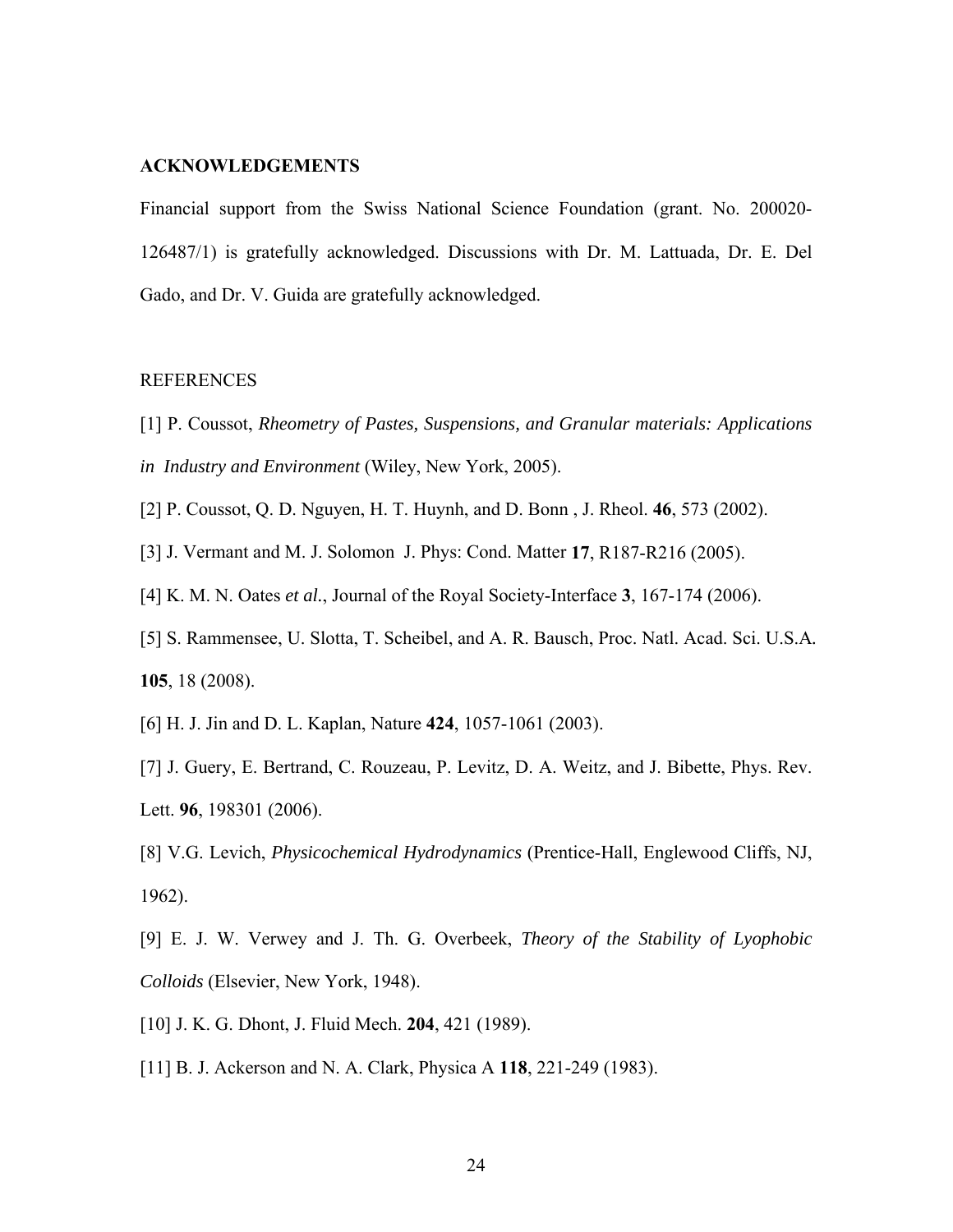# **ACKNOWLEDGEMENTS**

Financial support from the Swiss National Science Foundation (grant. No. 200020- 126487/1) is gratefully acknowledged. Discussions with Dr. M. Lattuada, Dr. E. Del Gado, and Dr. V. Guida are gratefully acknowledged.

# REFERENCES

[1] P. Coussot, *Rheometry of Pastes, Suspensions, and Granular materials: Applications in Industry and Environment* (Wiley, New York, 2005).

[2] P. Coussot, Q. D. Nguyen, H. T. Huynh, and D. Bonn , J. Rheol. **46**, 573 (2002).

[3] J. Vermant and M. J. Solomon J. Phys: Cond. Matter **17**, R187-R216 (2005).

[4] K. M. N. Oates *et al.*, Journal of the Royal Society-Interface **3**, 167-174 (2006).

[5] S. Rammensee, U. Slotta, T. Scheibel, and A. R. Bausch, Proc. Natl. Acad. Sci. U.S.A*.* **105**, 18 (2008).

[6] H. J. Jin and D. L. Kaplan, Nature **424**, 1057-1061 (2003).

[7] J. Guery, E. Bertrand, C. Rouzeau, P. Levitz, D. A. Weitz, and J. Bibette, Phys. Rev. Lett. **96**, 198301 (2006).

[8] V.G. Levich, *Physicochemical Hydrodynamics* (Prentice-Hall, Englewood Cliffs, NJ, 1962).

[9] E. J. W. Verwey and J. Th. G. Overbeek, *Theory of the Stability of Lyophobic Colloids* (Elsevier, New York, 1948).

[10] J. K. G. Dhont, J. Fluid Mech. **204**, 421 (1989).

[11] B. J. Ackerson and N. A. Clark, Physica A **118**, 221-249 (1983).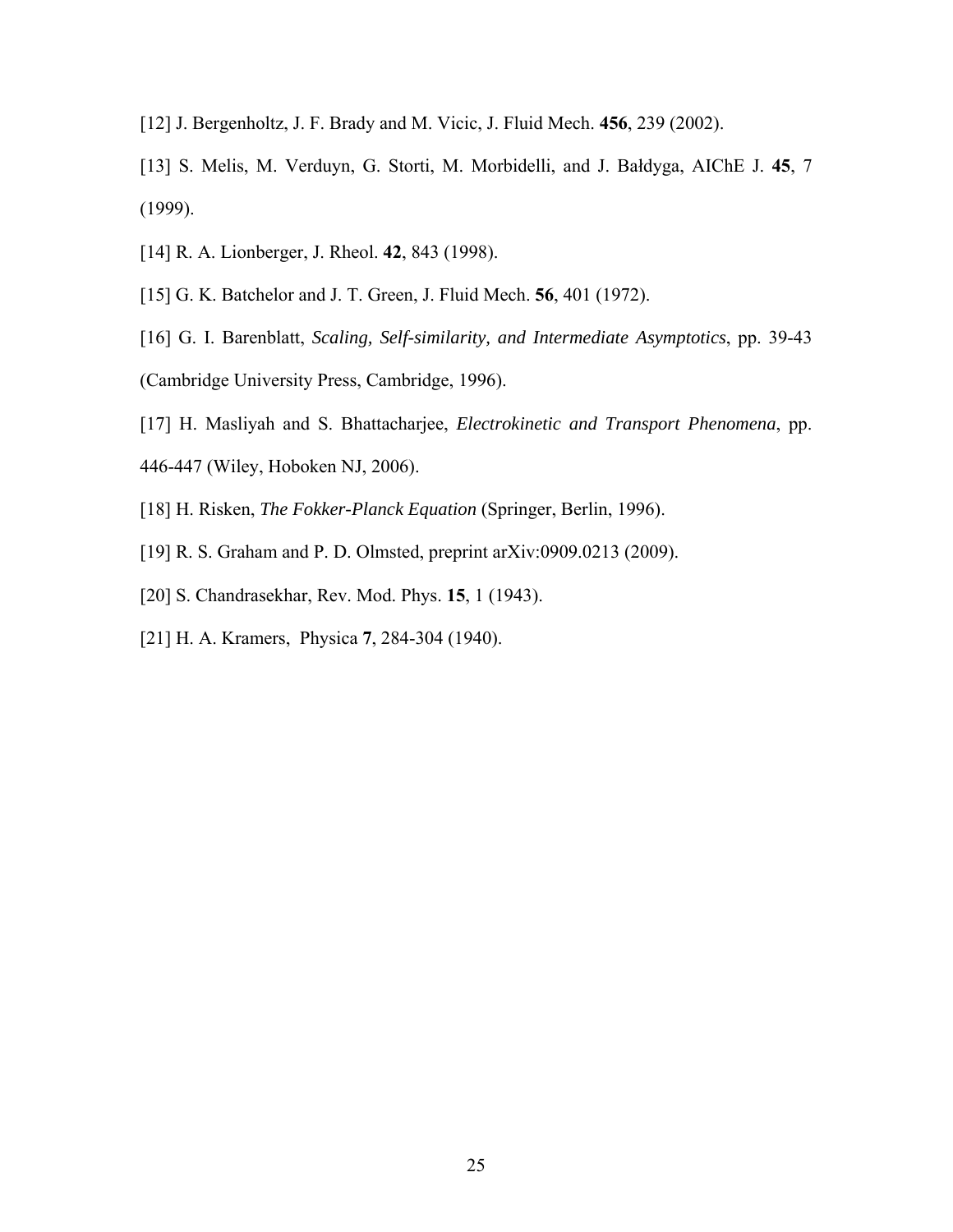- [12] J. Bergenholtz, J. F. Brady and M. Vicic, J. Fluid Mech. **456**, 239 (2002).
- [13] S. Melis, M. Verduyn, G. Storti, M. Morbidelli, and J. Bałdyga, AIChE J. **45**, 7 (1999).
- [14] R. A. Lionberger, J. Rheol. **42**, 843 (1998).
- [15] G. K. Batchelor and J. T. Green, J. Fluid Mech. **56**, 401 (1972).
- [16] G. I. Barenblatt, *Scaling, Self-similarity, and Intermediate Asymptotics*, pp. 39-43 (Cambridge University Press, Cambridge, 1996).
- [17] H. Masliyah and S. Bhattacharjee, *Electrokinetic and Transport Phenomena*, pp. 446-447 (Wiley, Hoboken NJ, 2006).
- [18] H. Risken, *The Fokker-Planck Equation* (Springer, Berlin, 1996).
- [19] R. S. Graham and P. D. Olmsted, preprint arXiv:0909.0213 (2009).
- [20] S. Chandrasekhar, Rev. Mod. Phys. **15**, 1 (1943).
- [21] H. A. Kramers, Physica **7**, 284-304 (1940).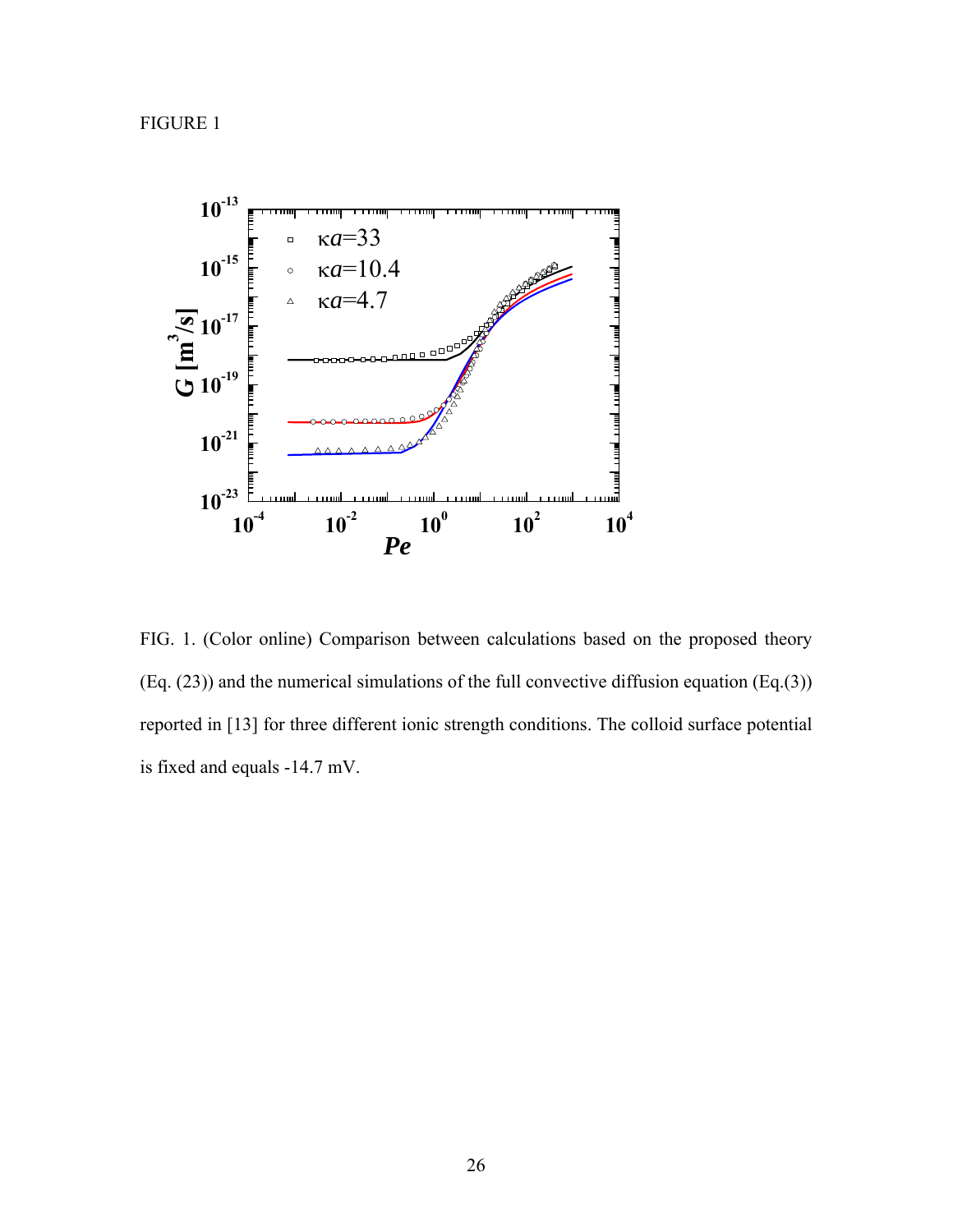FIGURE 1



FIG. 1. (Color online) Comparison between calculations based on the proposed theory (Eq. (23)) and the numerical simulations of the full convective diffusion equation (Eq.(3)) reported in [13] for three different ionic strength conditions. The colloid surface potential is fixed and equals -14.7 mV.